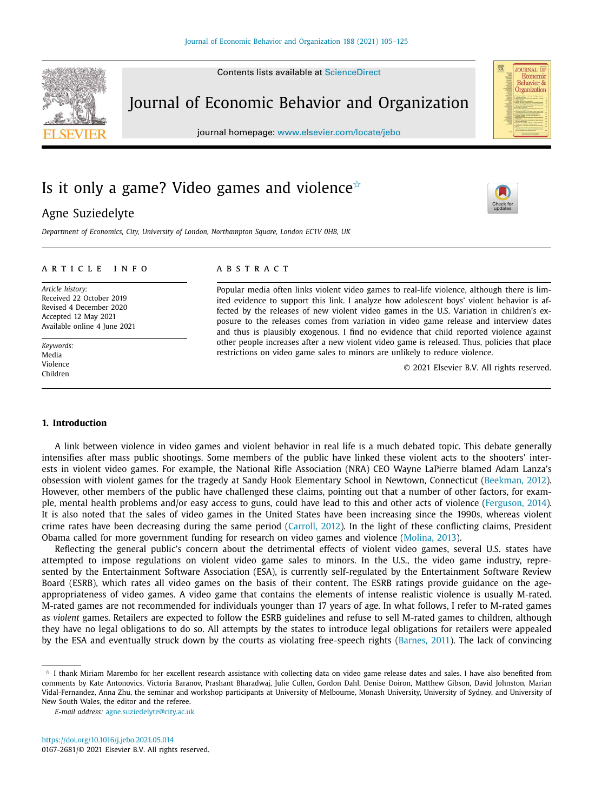Contents lists available at ScienceDirect



Journal of Economic Behavior and Organization

journal homepage: www.elsevier.com/locate/jebo

# Is it only a game? Video games and violence $\dot{\mathbb{R}}$

# Agne Suziedelyte

*Department of Economics, City, University of London, Northampton Square, London EC1V 0HB, UK*

### a r t i c l e i n f o

*Article history:* Received 22 October 2019 Revised 4 December 2020 Accepted 12 May 2021 Available online 4 June 2021

*Keywords:* Media Violence Children

## a b s t r a c t

Popular media often links violent video games to real-life violence, although there is limited evidence to support this link. I analyze how adolescent boys' violent behavior is affected by the releases of new violent video games in the U.S. Variation in children's exposure to the releases comes from variation in video game release and interview dates and thus is plausibly exogenous. I find no evidence that child reported violence against other people increases after a new violent video game is released. Thus, policies that place restrictions on video game sales to minors are unlikely to reduce violence.

© 2021 Elsevier B.V. All rights reserved.

**JOURNAL OF**<br>Economic Behavior & Organization

#### **1. Introduction**

A link between violence in video games and violent behavior in real life is a much debated topic. This debate generally intensifies after mass public shootings. Some members of the public have linked these violent acts to the shooters' interests in violent video games. For example, the National Rifle Association (NRA) CEO Wayne LaPierre blamed Adam Lanza's obsession with violent games for the tragedy at Sandy Hook Elementary School in Newtown, Connecticut (Beekman, 2012). However, other members of the public have challenged these claims, pointing out that a number of other factors, for example, mental health problems and/or easy access to guns, could have lead to this and other acts of violence (Ferguson, 2014). It is also noted that the sales of video games in the United States have been increasing since the 1990s, whereas violent crime rates have been decreasing during the same period (Carroll, 2012). In the light of these conflicting claims, President Obama called for more government funding for research on video games and violence (Molina, 2013).

Reflecting the general public's concern about the detrimental effects of violent video games, several U.S. states have attempted to impose regulations on violent video game sales to minors. In the U.S., the video game industry, represented by the Entertainment Software Association (ESA), is currently self-regulated by the Entertainment Software Review Board (ESRB), which rates all video games on the basis of their content. The ESRB ratings provide guidance on the ageappropriateness of video games. A video game that contains the elements of intense realistic violence is usually M-rated. M-rated games are not recommended for individuals younger than 17 years of age. In what follows, I refer to M-rated games as *violent* games. Retailers are expected to follow the ESRB guidelines and refuse to sell M-rated games to children, although they have no legal obligations to do so. All attempts by the states to introduce legal obligations for retailers were appealed by the ESA and eventually struck down by the courts as violating free-speech rights (Barnes, 2011). The lack of convincing

 $\star$  I thank Miriam Marembo for her excellent research assistance with collecting data on video game release dates and sales. I have also benefited from comments by Kate Antonovics, Victoria Baranov, Prashant Bharadwaj, Julie Cullen, Gordon Dahl, Denise Doiron, Matthew Gibson, David Johnston, Marian Vidal-Fernandez, Anna Zhu, the seminar and workshop participants at University of Melbourne, Monash University, University of Sydney, and University of New South Wales, the editor and the referee.

*E-mail address:* agne.suziedelyte@city.ac.uk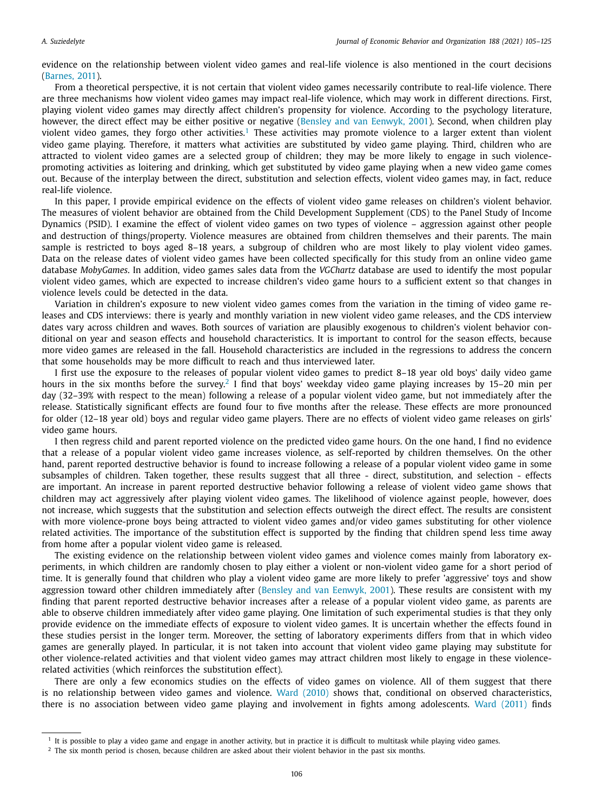evidence on the relationship between violent video games and real-life violence is also mentioned in the court decisions (Barnes, 2011).

From a theoretical perspective, it is not certain that violent video games necessarily contribute to real-life violence. There are three mechanisms how violent video games may impact real-life violence, which may work in different directions. First, playing violent video games may directly affect children's propensity for violence. According to the psychology literature, however, the direct effect may be either positive or negative (Bensley and van Eenwyk, 2001). Second, when children play violent video games, they forgo other activities.<sup>1</sup> These activities may promote violence to a larger extent than violent video game playing. Therefore, it matters what activities are substituted by video game playing. Third, children who are attracted to violent video games are a selected group of children; they may be more likely to engage in such violencepromoting activities as loitering and drinking, which get substituted by video game playing when a new video game comes out. Because of the interplay between the direct, substitution and selection effects, violent video games may, in fact, reduce real-life violence.

In this paper, I provide empirical evidence on the effects of violent video game releases on children's violent behavior. The measures of violent behavior are obtained from the Child Development Supplement (CDS) to the Panel Study of Income Dynamics (PSID). I examine the effect of violent video games on two types of violence – aggression against other people and destruction of things/property. Violence measures are obtained from children themselves and their parents. The main sample is restricted to boys aged 8–18 years, a subgroup of children who are most likely to play violent video games. Data on the release dates of violent video games have been collected specifically for this study from an online video game database *MobyGames*. In addition, video games sales data from the *VGChartz* database are used to identify the most popular violent video games, which are expected to increase children's video game hours to a sufficient extent so that changes in violence levels could be detected in the data.

Variation in children's exposure to new violent video games comes from the variation in the timing of video game releases and CDS interviews: there is yearly and monthly variation in new violent video game releases, and the CDS interview dates vary across children and waves. Both sources of variation are plausibly exogenous to children's violent behavior conditional on year and season effects and household characteristics. It is important to control for the season effects, because more video games are released in the fall. Household characteristics are included in the regressions to address the concern that some households may be more difficult to reach and thus interviewed later.

I first use the exposure to the releases of popular violent video games to predict 8–18 year old boys' daily video game hours in the six months before the survey.<sup>2</sup> I find that boys' weekday video game playing increases by 15–20 min per day (32–39% with respect to the mean) following a release of a popular violent video game, but not immediately after the release. Statistically significant effects are found four to five months after the release. These effects are more pronounced for older (12–18 year old) boys and regular video game players. There are no effects of violent video game releases on girls' video game hours.

I then regress child and parent reported violence on the predicted video game hours. On the one hand, I find no evidence that a release of a popular violent video game increases violence, as self-reported by children themselves. On the other hand, parent reported destructive behavior is found to increase following a release of a popular violent video game in some subsamples of children. Taken together, these results suggest that all three - direct, substitution, and selection - effects are important. An increase in parent reported destructive behavior following a release of violent video game shows that children may act aggressively after playing violent video games. The likelihood of violence against people, however, does not increase, which suggests that the substitution and selection effects outweigh the direct effect. The results are consistent with more violence-prone boys being attracted to violent video games and/or video games substituting for other violence related activities. The importance of the substitution effect is supported by the finding that children spend less time away from home after a popular violent video game is released.

The existing evidence on the relationship between violent video games and violence comes mainly from laboratory experiments, in which children are randomly chosen to play either a violent or non-violent video game for a short period of time. It is generally found that children who play a violent video game are more likely to prefer 'aggressive' toys and show aggression toward other children immediately after (Bensley and van Eenwyk, 2001). These results are consistent with my finding that parent reported destructive behavior increases after a release of a popular violent video game, as parents are able to observe children immediately after video game playing. One limitation of such experimental studies is that they only provide evidence on the immediate effects of exposure to violent video games. It is uncertain whether the effects found in these studies persist in the longer term. Moreover, the setting of laboratory experiments differs from that in which video games are generally played. In particular, it is not taken into account that violent video game playing may substitute for other violence-related activities and that violent video games may attract children most likely to engage in these violencerelated activities (which reinforces the substitution effect).

There are only a few economics studies on the effects of video games on violence. All of them suggest that there is no relationship between video games and violence. Ward (2010) shows that, conditional on observed characteristics, there is no association between video game playing and involvement in fights among adolescents. Ward (2011) finds

<sup>1</sup> It is possible to play a video game and engage in another activity, but in practice it is difficult to multitask while playing video games.

<sup>&</sup>lt;sup>2</sup> The six month period is chosen, because children are asked about their violent behavior in the past six months.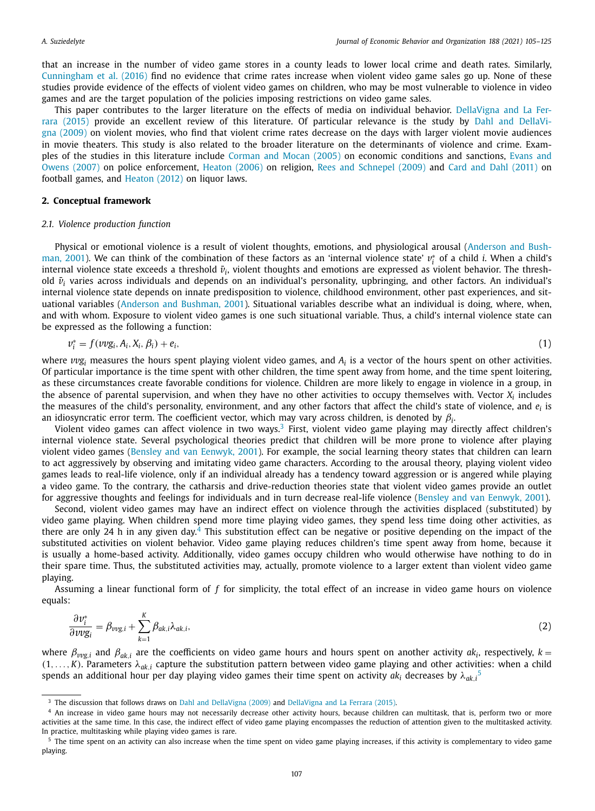that an increase in the number of video game stores in a county leads to lower local crime and death rates. Similarly, Cunningham et al. (2016) find no evidence that crime rates increase when violent video game sales go up. None of these studies provide evidence of the effects of violent video games on children, who may be most vulnerable to violence in video games and are the target population of the policies imposing restrictions on video game sales.

This paper contributes to the larger literature on the effects of media on individual behavior. DellaVigna and La Ferrara (2015) provide an excellent review of this literature. Of particular relevance is the study by Dahl and DellaVigna (2009) on violent movies, who find that violent crime rates decrease on the days with larger violent movie audiences in movie theaters. This study is also related to the broader literature on the determinants of violence and crime. Examples of the studies in this literature include Corman and Mocan (2005) on economic conditions and sanctions, Evans and Owens (2007) on police enforcement, Heaton (2006) on religion, Rees and Schnepel (2009) and Card and Dahl (2011) on football games, and Heaton (2012) on liquor laws.

#### **2. Conceptual framework**

#### *2.1. Violence production function*

Physical or emotional violence is a result of violent thoughts, emotions, and physiological arousal (Anderson and Bushman, 2001). We can think of the combination of these factors as an 'internal violence state'  $v_i^*$  of a child *i*. When a child's internal violence state exceeds a threshold  $\bar{v}_i$ , violent thoughts and emotions are expressed as violent behavior. The threshold  $\bar{v}_i$  varies across individuals and depends on an individual's personality, upbringing, and other factors. An individual's internal violence state depends on innate predisposition to violence, childhood environment, other past experiences, and situational variables (Anderson and Bushman, 2001). Situational variables describe what an individual is doing, where, when, and with whom. Exposure to violent video games is one such situational variable. Thus, a child's internal violence state can be expressed as the following a function:

$$
v_i^* = f(vvg_i, A_i, X_i, \beta_i) + e_i,
$$
\n<sup>(1)</sup>

where  $v v g_i$  measures the hours spent playing violent video games, and  $A_i$  is a vector of the hours spent on other activities. Of particular importance is the time spent with other children, the time spent away from home, and the time spent loitering, as these circumstances create favorable conditions for violence. Children are more likely to engage in violence in a group, in the absence of parental supervision, and when they have no other activities to occupy themselves with. Vector  $X_i$  includes the measures of the child's personality, environment, and any other factors that affect the child's state of violence, and *e<sup>i</sup>* is an idiosyncratic error term. The coefficient vector, which may vary across children, is denoted by  $\beta_i$ .

Violent video games can affect violence in two ways.<sup>3</sup> First, violent video game playing may directly affect children's internal violence state. Several psychological theories predict that children will be more prone to violence after playing violent video games (Bensley and van Eenwyk, 2001). For example, the social learning theory states that children can learn to act aggressively by observing and imitating video game characters. According to the arousal theory, playing violent video games leads to real-life violence, only if an individual already has a tendency toward aggression or is angered while playing a video game. To the contrary, the catharsis and drive-reduction theories state that violent video games provide an outlet for aggressive thoughts and feelings for individuals and in turn decrease real-life violence (Bensley and van Eenwyk, 2001).

Second, violent video games may have an indirect effect on violence through the activities displaced (substituted) by video game playing. When children spend more time playing video games, they spend less time doing other activities, as there are only 24 h in any given day.<sup>4</sup> This substitution effect can be negative or positive depending on the impact of the substituted activities on violent behavior. Video game playing reduces children's time spent away from home, because it is usually a home-based activity. Additionally, video games occupy children who would otherwise have nothing to do in their spare time. Thus, the substituted activities may, actually, promote violence to a larger extent than violent video game playing.

Assuming a linear functional form of *f* for simplicity, the total effect of an increase in video game hours on violence equals:

$$
\frac{\partial v_i^*}{\partial v v g_i} = \beta_{vvg,i} + \sum_{k=1}^K \beta_{ak,i} \lambda_{ak,i},\tag{2}
$$

where  $\beta_{vvg,i}$  and  $\beta_{ak,i}$  are the coefficients on video game hours and hours spent on another activity  $ak_i$ , respectively,  $k =$  $(1,\ldots,K)$ . Parameters  $\lambda_{ak,i}$  capture the substitution pattern between video game playing and other activities: when a child spends an additional hour per day playing video games their time spent on activity  $ak_i$  decreases by  $\lambda_{ak,i}$ <sup>5</sup>

<sup>&</sup>lt;sup>3</sup> The discussion that follows draws on Dahl and DellaVigna (2009) and DellaVigna and La Ferrara (2015).

<sup>4</sup> An increase in video game hours may not necessarily decrease other activity hours, because children can multitask, that is, perform two or more activities at the same time. In this case, the indirect effect of video game playing encompasses the reduction of attention given to the multitasked activity. In practice, multitasking while playing video games is rare.

<sup>&</sup>lt;sup>5</sup> The time spent on an activity can also increase when the time spent on video game playing increases, if this activity is complementary to video game playing.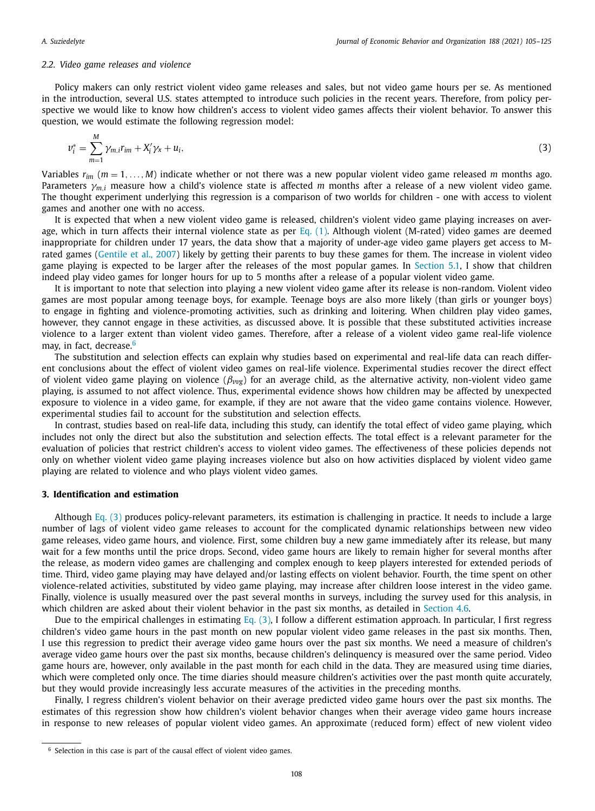#### *2.2. Video game releases and violence*

Policy makers can only restrict violent video game releases and sales, but not video game hours per se. As mentioned in the introduction, several U.S. states attempted to introduce such policies in the recent years. Therefore, from policy perspective we would like to know how children's access to violent video games affects their violent behavior. To answer this question, we would estimate the following regression model:

$$
\nu_i^* = \sum_{m=1}^M \gamma_{m,i} r_{im} + X_i' \gamma_x + u_i, \tag{3}
$$

Variables *rim* (*m* = 1, . . ., *M*) indicate whether or not there was a new popular violent video game released *m* months ago. Parameters γ*<sup>m</sup>*,*<sup>i</sup>* measure how a child's violence state is affected *m* months after a release of a new violent video game. The thought experiment underlying this regression is a comparison of two worlds for children - one with access to violent games and another one with no access.

It is expected that when a new violent video game is released, children's violent video game playing increases on average, which in turn affects their internal violence state as per  $Eq. (1)$ . Although violent (M-rated) video games are deemed inappropriate for children under 17 years, the data show that a majority of under-age video game players get access to Mrated games (Gentile et al., 2007) likely by getting their parents to buy these games for them. The increase in violent video game playing is expected to be larger after the releases of the most popular games. In Section 5.1, I show that children indeed play video games for longer hours for up to 5 months after a release of a popular violent video game.

It is important to note that selection into playing a new violent video game after its release is non-random. Violent video games are most popular among teenage boys, for example. Teenage boys are also more likely (than girls or younger boys) to engage in fighting and violence-promoting activities, such as drinking and loitering. When children play video games, however, they cannot engage in these activities, as discussed above. It is possible that these substituted activities increase violence to a larger extent than violent video games. Therefore, after a release of a violent video game real-life violence may, in fact, decrease.<sup>6</sup>

The substitution and selection effects can explain why studies based on experimental and real-life data can reach different conclusions about the effect of violent video games on real-life violence. Experimental studies recover the direct effect of violent video game playing on violence (β*vvg*) for an average child, as the alternative activity, non-violent video game playing, is assumed to not affect violence. Thus, experimental evidence shows how children may be affected by unexpected exposure to violence in a video game, for example, if they are not aware that the video game contains violence. However, experimental studies fail to account for the substitution and selection effects.

In contrast, studies based on real-life data, including this study, can identify the total effect of video game playing, which includes not only the direct but also the substitution and selection effects. The total effect is a relevant parameter for the evaluation of policies that restrict children's access to violent video games. The effectiveness of these policies depends not only on whether violent video game playing increases violence but also on how activities displaced by violent video game playing are related to violence and who plays violent video games.

#### **3. Identification and estimation**

Although Eq.  $(3)$  produces policy-relevant parameters, its estimation is challenging in practice. It needs to include a large number of lags of violent video game releases to account for the complicated dynamic relationships between new video game releases, video game hours, and violence. First, some children buy a new game immediately after its release, but many wait for a few months until the price drops. Second, video game hours are likely to remain higher for several months after the release, as modern video games are challenging and complex enough to keep players interested for extended periods of time. Third, video game playing may have delayed and/or lasting effects on violent behavior. Fourth, the time spent on other violence-related activities, substituted by video game playing, may increase after children loose interest in the video game. Finally, violence is usually measured over the past several months in surveys, including the survey used for this analysis, in which children are asked about their violent behavior in the past six months, as detailed in Section 4.6.

Due to the empirical challenges in estimating Eq.  $(3)$ , I follow a different estimation approach. In particular, I first regress children's video game hours in the past month on new popular violent video game releases in the past six months. Then, I use this regression to predict their average video game hours over the past six months. We need a measure of children's average video game hours over the past six months, because children's delinquency is measured over the same period. Video game hours are, however, only available in the past month for each child in the data. They are measured using time diaries, which were completed only once. The time diaries should measure children's activities over the past month quite accurately, but they would provide increasingly less accurate measures of the activities in the preceding months.

Finally, I regress children's violent behavior on their average predicted video game hours over the past six months. The estimates of this regression show how children's violent behavior changes when their average video game hours increase in response to new releases of popular violent video games. An approximate (reduced form) effect of new violent video

<sup>&</sup>lt;sup>6</sup> Selection in this case is part of the causal effect of violent video games.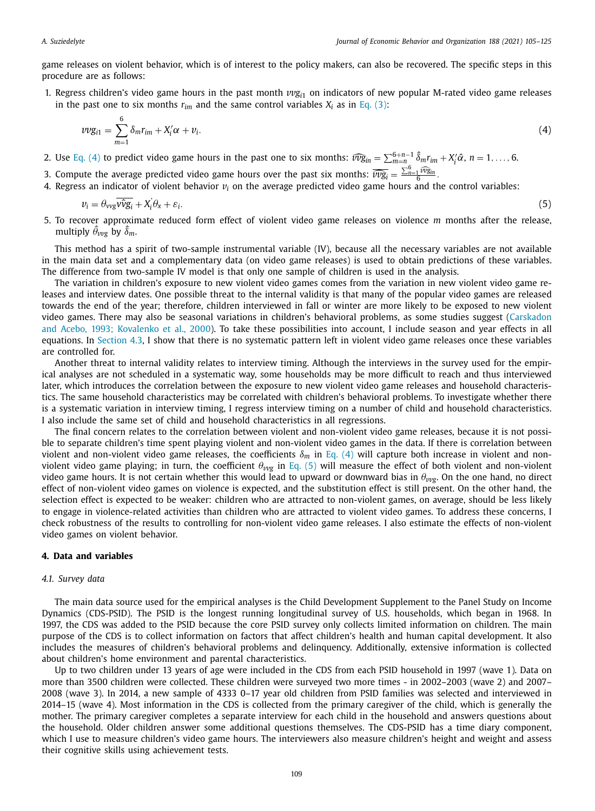game releases on violent behavior, which is of interest to the policy makers, can also be recovered. The specific steps in this procedure are as follows:

1. Regress children's video game hours in the past month  $v v g_{i1}$  on indicators of new popular M-rated video game releases in the past one to six months  $r_{im}$  and the same control variables  $X_i$  as in Eq. (3):

$$
\nu \nu g_{i1} = \sum_{m=1}^{6} \delta_m r_{im} + X_i' \alpha + \nu_i. \tag{4}
$$

- 2. Use Eq. (4) to predict video game hours in the past one to six months:  $\widehat{vvg}_{in} = \sum_{m=n}^{6+n-1} \hat{\delta}_m r_{im} + X'_i \hat{\alpha}$ ,  $n = 1, \ldots, 6$ .
- 3. Compute the average predicted video game hours over the past six months:  $\widehat{vvg_i} = \frac{\sum_{n=1}^{6} \widehat{vvg_i}}{6}$
- 4. Regress an indicator of violent behavior *v<sup>i</sup>* on the average predicted video game hours and the control variables:

$$
v_i = \theta_{\text{vvg}} \overline{\text{v}\hat{\text{v}}\text{g}_i} + \text{X}_i^{\cdot} \theta_x + \varepsilon_i. \tag{5}
$$

5. To recover approximate reduced form effect of violent video game releases on violence *m* months after the release, multiply  $\widehat{\theta}_{\nu\nu g}$  by  $\widehat{\delta}_m.$ 

This method has a spirit of two-sample instrumental variable (IV), because all the necessary variables are not available in the main data set and a complementary data (on video game releases) is used to obtain predictions of these variables. The difference from two-sample IV model is that only one sample of children is used in the analysis.

The variation in children's exposure to new violent video games comes from the variation in new violent video game releases and interview dates. One possible threat to the internal validity is that many of the popular video games are released towards the end of the year; therefore, children interviewed in fall or winter are more likely to be exposed to new violent video games. There may also be seasonal variations in children's behavioral problems, as some studies suggest (Carskadon and Acebo, 1993; Kovalenko et al., 2000). To take these possibilities into account, I include season and year effects in all equations. In Section 4.3, I show that there is no systematic pattern left in violent video game releases once these variables are controlled for.

Another threat to internal validity relates to interview timing. Although the interviews in the survey used for the empirical analyses are not scheduled in a systematic way, some households may be more difficult to reach and thus interviewed later, which introduces the correlation between the exposure to new violent video game releases and household characteristics. The same household characteristics may be correlated with children's behavioral problems. To investigate whether there is a systematic variation in interview timing, I regress interview timing on a number of child and household characteristics. I also include the same set of child and household characteristics in all regressions.

The final concern relates to the correlation between violent and non-violent video game releases, because it is not possible to separate children's time spent playing violent and non-violent video games in the data. If there is correlation between violent and non-violent video game releases, the coefficients  $\delta_m$  in Eq. (4) will capture both increase in violent and nonviolent video game playing; in turn, the coefficient θ*vv<sup>g</sup>* in Eq. (5) will measure the effect of both violent and non-violent video game hours. It is not certain whether this would lead to upward or downward bias in  $\theta_{\text{vyc}}$ . On the one hand, no direct effect of non-violent video games on violence is expected, and the substitution effect is still present. On the other hand, the selection effect is expected to be weaker: children who are attracted to non-violent games, on average, should be less likely to engage in violence-related activities than children who are attracted to violent video games. To address these concerns, I check robustness of the results to controlling for non-violent video game releases. I also estimate the effects of non-violent video games on violent behavior.

#### **4. Data and variables**

#### *4.1. Survey data*

The main data source used for the empirical analyses is the Child Development Supplement to the Panel Study on Income Dynamics (CDS-PSID). The PSID is the longest running longitudinal survey of U.S. households, which began in 1968. In 1997, the CDS was added to the PSID because the core PSID survey only collects limited information on children. The main purpose of the CDS is to collect information on factors that affect children's health and human capital development. It also includes the measures of children's behavioral problems and delinquency. Additionally, extensive information is collected about children's home environment and parental characteristics.

Up to two children under 13 years of age were included in the CDS from each PSID household in 1997 (wave 1). Data on more than 3500 children were collected. These children were surveyed two more times - in 2002–2003 (wave 2) and 2007– 2008 (wave 3). In 2014, a new sample of 4333 0–17 year old children from PSID families was selected and interviewed in 2014–15 (wave 4). Most information in the CDS is collected from the primary caregiver of the child, which is generally the mother. The primary caregiver completes a separate interview for each child in the household and answers questions about the household. Older children answer some additional questions themselves. The CDS-PSID has a time diary component, which I use to measure children's video game hours. The interviewers also measure children's height and weight and assess their cognitive skills using achievement tests.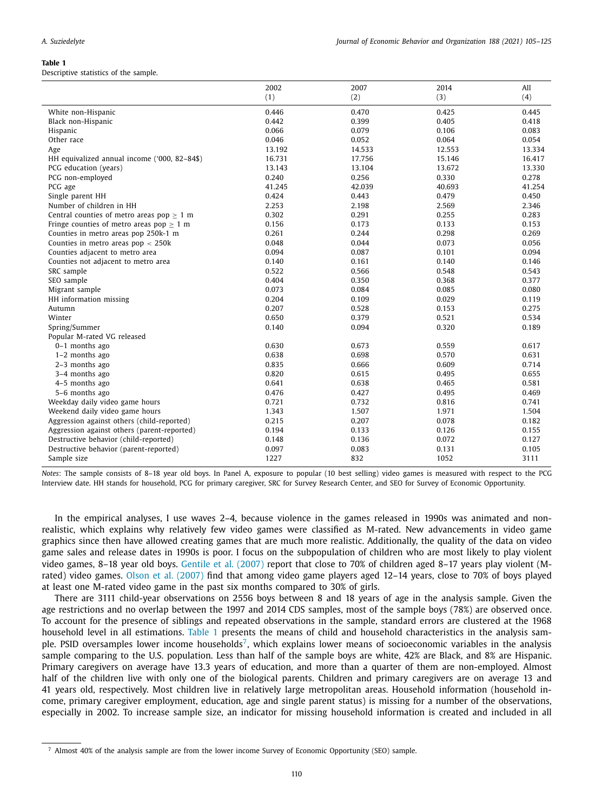$\overline{a}$ 

Descriptive statistics of the sample.

|                                                   | 2002   | 2007   | 2014   | All    |
|---------------------------------------------------|--------|--------|--------|--------|
|                                                   | (1)    | (2)    | (3)    | (4)    |
| White non-Hispanic                                | 0.446  | 0.470  | 0.425  | 0.445  |
| Black non-Hispanic                                | 0.442  | 0.399  | 0.405  | 0.418  |
| Hispanic                                          | 0.066  | 0.079  | 0.106  | 0.083  |
| Other race                                        | 0.046  | 0.052  | 0.064  | 0.054  |
| Age                                               | 13.192 | 14.533 | 12.553 | 13.334 |
| HH equivalized annual income ('000, 82-84\$)      | 16.731 | 17.756 | 15.146 | 16.417 |
| PCG education (years)                             | 13.143 | 13.104 | 13.672 | 13.330 |
| PCG non-employed                                  | 0.240  | 0.256  | 0.330  | 0.278  |
| PCG age                                           | 41.245 | 42.039 | 40.693 | 41.254 |
| Single parent HH                                  | 0.424  | 0.443  | 0.479  | 0.450  |
| Number of children in HH                          | 2.253  | 2.198  | 2.569  | 2.346  |
| Central counties of metro areas $pop \geq 1$ m    | 0.302  | 0.291  | 0.255  | 0.283  |
| Fringe counties of metro areas pop $\geq 1$ m     | 0.156  | 0.173  | 0.133  | 0.153  |
| Counties in metro areas pop 250k-1 m              | 0.261  | 0.244  | 0.298  | 0.269  |
| Counties in metro areas $pop < 250k$              | 0.048  | 0.044  | 0.073  | 0.056  |
| Counties adjacent to metro area                   | 0.094  | 0.087  | 0.101  | 0.094  |
|                                                   | 0.140  | 0.161  | 0.140  | 0.146  |
| Counties not adjacent to metro area<br>SRC sample | 0.522  | 0.566  | 0.548  | 0.543  |
|                                                   | 0.404  | 0.350  | 0.368  | 0.377  |
| SEO sample                                        |        |        |        |        |
| Migrant sample                                    | 0.073  | 0.084  | 0.085  | 0.080  |
| HH information missing                            | 0.204  | 0.109  | 0.029  | 0.119  |
| Autumn                                            | 0.207  | 0.528  | 0.153  | 0.275  |
| Winter                                            | 0.650  | 0.379  | 0.521  | 0.534  |
| Spring/Summer                                     | 0.140  | 0.094  | 0.320  | 0.189  |
| Popular M-rated VG released                       |        |        |        |        |
| $0-1$ months ago                                  | 0.630  | 0.673  | 0.559  | 0.617  |
| $1-2$ months ago                                  | 0.638  | 0.698  | 0.570  | 0.631  |
| 2-3 months ago                                    | 0.835  | 0.666  | 0.609  | 0.714  |
| 3-4 months ago                                    | 0.820  | 0.615  | 0.495  | 0.655  |
| 4-5 months ago                                    | 0.641  | 0.638  | 0.465  | 0.581  |
| 5-6 months ago                                    | 0.476  | 0.427  | 0.495  | 0.469  |
| Weekday daily video game hours                    | 0.721  | 0.732  | 0.816  | 0.741  |
| Weekend daily video game hours                    | 1.343  | 1.507  | 1.971  | 1.504  |
| Aggression against others (child-reported)        | 0.215  | 0.207  | 0.078  | 0.182  |
| Aggression against others (parent-reported)       | 0.194  | 0.133  | 0.126  | 0.155  |
| Destructive behavior (child-reported)             | 0.148  | 0.136  | 0.072  | 0.127  |
| Destructive behavior (parent-reported)            | 0.097  | 0.083  | 0.131  | 0.105  |
| Sample size                                       | 1227   | 832    | 1052   | 3111   |

*Notes*: The sample consists of 8–18 year old boys. In Panel A, exposure to popular (10 best selling) video games is measured with respect to the PCG Interview date. HH stands for household, PCG for primary caregiver, SRC for Survey Research Center, and SEO for Survey of Economic Opportunity.

In the empirical analyses, I use waves 2–4, because violence in the games released in 1990s was animated and nonrealistic, which explains why relatively few video games were classified as M-rated. New advancements in video game graphics since then have allowed creating games that are much more realistic. Additionally, the quality of the data on video game sales and release dates in 1990s is poor. I focus on the subpopulation of children who are most likely to play violent video games, 8–18 year old boys. Gentile et al. (2007) report that close to 70% of children aged 8–17 years play violent (Mrated) video games. Olson et al. (2007) find that among video game players aged 12–14 years, close to 70% of boys played at least one M-rated video game in the past six months compared to 30% of girls.

There are 3111 child-year observations on 2556 boys between 8 and 18 years of age in the analysis sample. Given the age restrictions and no overlap between the 1997 and 2014 CDS samples, most of the sample boys (78%) are observed once. To account for the presence of siblings and repeated observations in the sample, standard errors are clustered at the 1968 household level in all estimations. Table 1 presents the means of child and household characteristics in the analysis sample. PSID oversamples lower income households<sup>7</sup>, which explains lower means of socioeconomic variables in the analysis sample comparing to the U.S. population. Less than half of the sample boys are white, 42% are Black, and 8% are Hispanic. Primary caregivers on average have 13.3 years of education, and more than a quarter of them are non-employed. Almost half of the children live with only one of the biological parents. Children and primary caregivers are on average 13 and 41 years old, respectively. Most children live in relatively large metropolitan areas. Household information (household income, primary caregiver employment, education, age and single parent status) is missing for a number of the observations, especially in 2002. To increase sample size, an indicator for missing household information is created and included in all

<sup>7</sup> Almost 40% of the analysis sample are from the lower income Survey of Economic Opportunity (SEO) sample.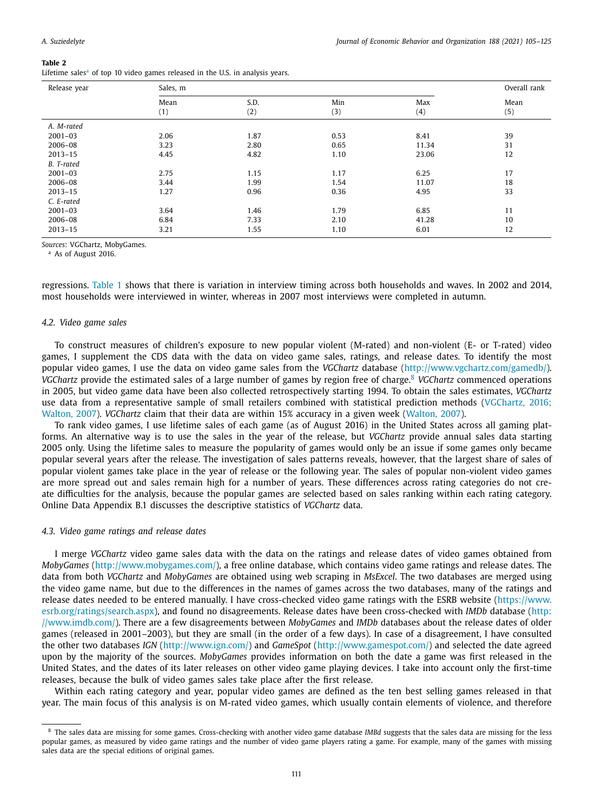Lifetime sales $a$  of top 10 video games released in the U.S. in analysis years.

| Release year | Sales, m |      |      |       | Overall rank |
|--------------|----------|------|------|-------|--------------|
|              | Mean     | S.D. | Min  | Max   | Mean         |
|              | (1)      | (2)  | (3)  | (4)   | (5)          |
| A. M-rated   |          |      |      |       |              |
| $2001 - 03$  | 2.06     | 1.87 | 0.53 | 8.41  | 39           |
| 2006-08      | 3.23     | 2.80 | 0.65 | 11.34 | 31           |
| $2013 - 15$  | 4.45     | 4.82 | 1.10 | 23.06 | 12           |
| B. T-rated   |          |      |      |       |              |
| $2001 - 03$  | 2.75     | 1.15 | 1.17 | 6.25  | 17           |
| 2006-08      | 3.44     | 1.99 | 1.54 | 11.07 | 18           |
| $2013 - 15$  | 1.27     | 0.96 | 0.36 | 4.95  | 33           |
| C. E-rated   |          |      |      |       |              |
| $2001 - 03$  | 3.64     | 1.46 | 1.79 | 6.85  | 11           |
| 2006-08      | 6.84     | 7.33 | 2.10 | 41.28 | 10           |
| $2013 - 15$  | 3.21     | 1.55 | 1.10 | 6.01  | 12           |

*Sources*: VGChartz, MobyGames.

<sup>a</sup> As of August 2016.

regressions. Table 1 shows that there is variation in interview timing across both households and waves. In 2002 and 2014, most households were interviewed in winter, whereas in 2007 most interviews were completed in autumn.

#### *4.2. Video game sales*

To construct measures of children's exposure to new popular violent (M-rated) and non-violent (E- or T-rated) video games, I supplement the CDS data with the data on video game sales, ratings, and release dates. To identify the most popular video games, I use the data on video game sales from the *VGChartz* database (http://www.vgchartz.com/gamedb/). *VGChartz* provide the estimated sales of a large number of games by region free of charge.<sup>8</sup> *VGChartz* commenced operations in 2005, but video game data have been also collected retrospectively starting 1994. To obtain the sales estimates, *VGChartz* use data from a representative sample of small retailers combined with statistical prediction methods (VGChartz, 2016; Walton, 2007). *VGChartz* claim that their data are within 15% accuracy in a given week (Walton, 2007).

To rank video games, I use lifetime sales of each game (as of August 2016) in the United States across all gaming platforms. An alternative way is to use the sales in the year of the release, but *VGChartz* provide annual sales data starting 2005 only. Using the lifetime sales to measure the popularity of games would only be an issue if some games only became popular several years after the release. The investigation of sales patterns reveals, however, that the largest share of sales of popular violent games take place in the year of release or the following year. The sales of popular non-violent video games are more spread out and sales remain high for a number of years. These differences across rating categories do not create difficulties for the analysis, because the popular games are selected based on sales ranking within each rating category. Online Data Appendix B.1 discusses the descriptive statistics of *VGChartz* data.

#### *4.3. Video game ratings and release dates*

I merge *VGChartz* video game sales data with the data on the ratings and release dates of video games obtained from *MobyGames* (http://www.mobygames.com/), a free online database, which contains video game ratings and release dates. The data from both *VGChartz* and *MobyGames* are obtained using web scraping in *MsExcel*. The two databases are merged using the video game name, but due to the differences in the names of games across the two databases, many of the ratings and release dates needed to be entered manually. I have cross-checked video game ratings with the ESRB website (https://www. esrb.org/ratings/search.aspx), and found no disagreements. Release dates have been cross-checked with *IMDb* database (http: //www.imdb.com/). There are a few disagreements between *MobyGames* and *IMDb* databases about the release dates of older games (released in 2001–2003), but they are small (in the order of a few days). In case of a disagreement, I have consulted the other two databases *IGN* (http://www.ign.com/) and *GameSpot* (http://www.gamespot.com/) and selected the date agreed upon by the majority of the sources. *MobyGames* provides information on both the date a game was first released in the United States, and the dates of its later releases on other video game playing devices. I take into account only the first-time releases, because the bulk of video games sales take place after the first release.

Within each rating category and year, popular video games are defined as the ten best selling games released in that year. The main focus of this analysis is on M-rated video games, which usually contain elements of violence, and therefore

<sup>8</sup> The sales data are missing for some games. Cross-checking with another video game database *IMBd* suggests that the sales data are missing for the less popular games, as measured by video game ratings and the number of video game players rating a game. For example, many of the games with missing sales data are the special editions of original games.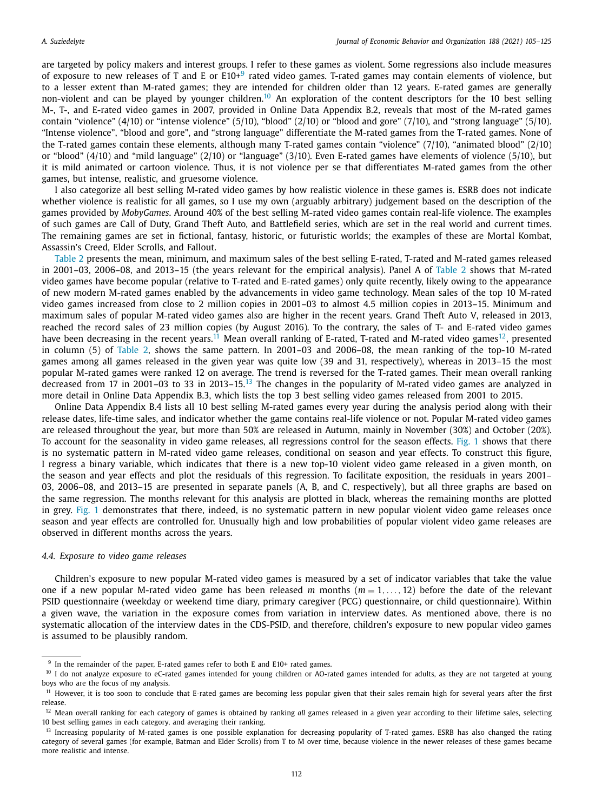are targeted by policy makers and interest groups. I refer to these games as violent. Some regressions also include measures of exposure to new releases of T and E or E10+<sup>9</sup> rated video games. T-rated games may contain elements of violence, but to a lesser extent than M-rated games; they are intended for children older than 12 years. E-rated games are generally non-violent and can be played by younger children.<sup>10</sup> An exploration of the content descriptors for the 10 best selling M-, T-, and E-rated video games in 2007, provided in Online Data Appendix B.2, reveals that most of the M-rated games contain "violence" (4/10) or "intense violence" (5/10), "blood" (2/10) or "blood and gore" (7/10), and "strong language" (5/10). "Intense violence", "blood and gore", and "strong language" differentiate the M-rated games from the T-rated games. None of the T-rated games contain these elements, although many T-rated games contain "violence" (7/10), "animated blood" (2/10) or "blood" (4/10) and "mild language" (2/10) or "language" (3/10). Even E-rated games have elements of violence (5/10), but it is mild animated or cartoon violence. Thus, it is not violence per se that differentiates M-rated games from the other games, but intense, realistic, and gruesome violence.

I also categorize all best selling M-rated video games by how realistic violence in these games is. ESRB does not indicate whether violence is realistic for all games, so I use my own (arguably arbitrary) judgement based on the description of the games provided by *MobyGames*. Around 40% of the best selling M-rated video games contain real-life violence. The examples of such games are Call of Duty, Grand Theft Auto, and Battlefield series, which are set in the real world and current times. The remaining games are set in fictional, fantasy, historic, or futuristic worlds; the examples of these are Mortal Kombat, Assassin's Creed, Elder Scrolls, and Fallout.

Table 2 presents the mean, minimum, and maximum sales of the best selling E-rated, T-rated and M-rated games released in 2001–03, 2006–08, and 2013–15 (the years relevant for the empirical analysis). Panel A of Table 2 shows that M-rated video games have become popular (relative to T-rated and E-rated games) only quite recently, likely owing to the appearance of new modern M-rated games enabled by the advancements in video game technology. Mean sales of the top 10 M-rated video games increased from close to 2 million copies in 2001–03 to almost 4.5 million copies in 2013–15. Minimum and maximum sales of popular M-rated video games also are higher in the recent years. Grand Theft Auto V, released in 2013, reached the record sales of 23 million copies (by August 2016). To the contrary, the sales of T- and E-rated video games have been decreasing in the recent years.<sup>11</sup> Mean overall ranking of E-rated, T-rated and M-rated video games<sup>12</sup>, presented in column (5) of Table 2, shows the same pattern. In 2001–03 and 2006–08, the mean ranking of the top-10 M-rated games among all games released in the given year was quite low (39 and 31, respectively), whereas in 2013–15 the most popular M-rated games were ranked 12 on average. The trend is reversed for the T-rated games. Their mean overall ranking decreased from 17 in 2001–03 to 33 in 2013–15.<sup>13</sup> The changes in the popularity of M-rated video games are analyzed in more detail in Online Data Appendix B.3, which lists the top 3 best selling video games released from 2001 to 2015.

Online Data Appendix B.4 lists all 10 best selling M-rated games every year during the analysis period along with their release dates, life-time sales, and indicator whether the game contains real-life violence or not. Popular M-rated video games are released throughout the year, but more than 50% are released in Autumn, mainly in November (30%) and October (20%). To account for the seasonality in video game releases, all regressions control for the season effects. Fig. 1 shows that there is no systematic pattern in M-rated video game releases, conditional on season and year effects. To construct this figure, I regress a binary variable, which indicates that there is a new top-10 violent video game released in a given month, on the season and year effects and plot the residuals of this regression. To facilitate exposition, the residuals in years 2001– 03, 2006–08, and 2013–15 are presented in separate panels (A, B, and C, respectively), but all three graphs are based on the same regression. The months relevant for this analysis are plotted in black, whereas the remaining months are plotted in grey. Fig. 1 demonstrates that there, indeed, is no systematic pattern in new popular violent video game releases once season and year effects are controlled for. Unusually high and low probabilities of popular violent video game releases are observed in different months across the years.

#### *4.4. Exposure to video game releases*

Children's exposure to new popular M-rated video games is measured by a set of indicator variables that take the value one if a new popular M-rated video game has been released  $m$  months  $(m = 1, \ldots, 12)$  before the date of the relevant PSID questionnaire (weekday or weekend time diary, primary caregiver (PCG) questionnaire, or child questionnaire). Within a given wave, the variation in the exposure comes from variation in interview dates. As mentioned above, there is no systematic allocation of the interview dates in the CDS-PSID, and therefore, children's exposure to new popular video games is assumed to be plausibly random.

<sup>9</sup> In the remainder of the paper, E-rated games refer to both E and E10+ rated games.

<sup>&</sup>lt;sup>10</sup> I do not analyze exposure to eC-rated games intended for young children or AO-rated games intended for adults, as they are not targeted at young boys who are the focus of my analysis.

<sup>&</sup>lt;sup>11</sup> However, it is too soon to conclude that E-rated games are becoming less popular given that their sales remain high for several years after the first release.

<sup>12</sup> Mean overall ranking for each category of games is obtained by ranking *all* games released in a given year according to their lifetime sales, selecting 10 best selling games in each category, and averaging their ranking.

<sup>&</sup>lt;sup>13</sup> Increasing popularity of M-rated games is one possible explanation for decreasing popularity of T-rated games. ESRB has also changed the rating category of several games (for example, Batman and Elder Scrolls) from T to M over time, because violence in the newer releases of these games became more realistic and intense.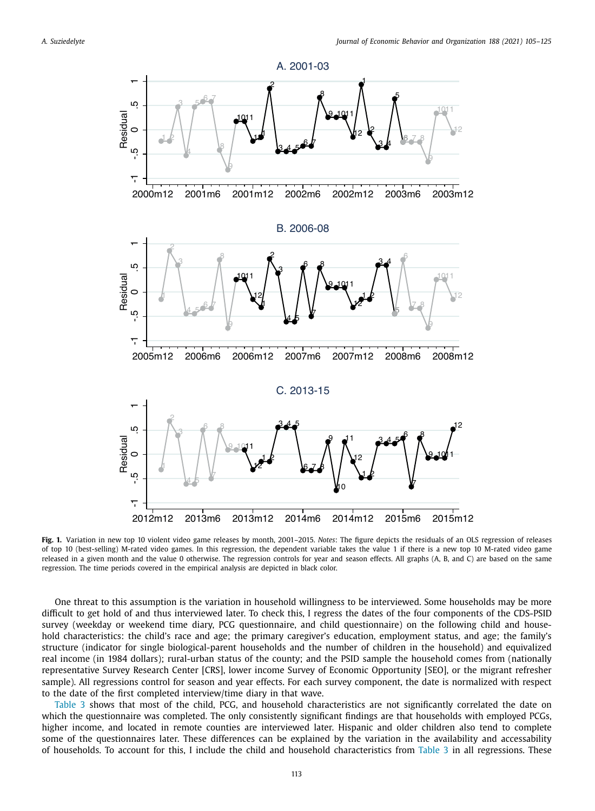

**Fig. 1.** Variation in new top 10 violent video game releases by month, 2001–2015. *Notes*: The figure depicts the residuals of an OLS regression of releases of top 10 (best-selling) M-rated video games. In this regression, the dependent variable takes the value 1 if there is a new top 10 M-rated video game released in a given month and the value 0 otherwise. The regression controls for year and season effects. All graphs (A, B, and C) are based on the same regression. The time periods covered in the empirical analysis are depicted in black color.

One threat to this assumption is the variation in household willingness to be interviewed. Some households may be more difficult to get hold of and thus interviewed later. To check this, I regress the dates of the four components of the CDS-PSID survey (weekday or weekend time diary, PCG questionnaire, and child questionnaire) on the following child and household characteristics: the child's race and age; the primary caregiver's education, employment status, and age; the family's structure (indicator for single biological-parent households and the number of children in the household) and equivalized real income (in 1984 dollars); rural-urban status of the county; and the PSID sample the household comes from (nationally representative Survey Research Center [CRS], lower income Survey of Economic Opportunity [SEO], or the migrant refresher sample). All regressions control for season and year effects. For each survey component, the date is normalized with respect to the date of the first completed interview/time diary in that wave.

Table 3 shows that most of the child, PCG, and household characteristics are not significantly correlated the date on which the questionnaire was completed. The only consistently significant findings are that households with employed PCGs, higher income, and located in remote counties are interviewed later. Hispanic and older children also tend to complete some of the questionnaires later. These differences can be explained by the variation in the availability and accessability of households. To account for this, I include the child and household characteristics from Table 3 in all regressions. These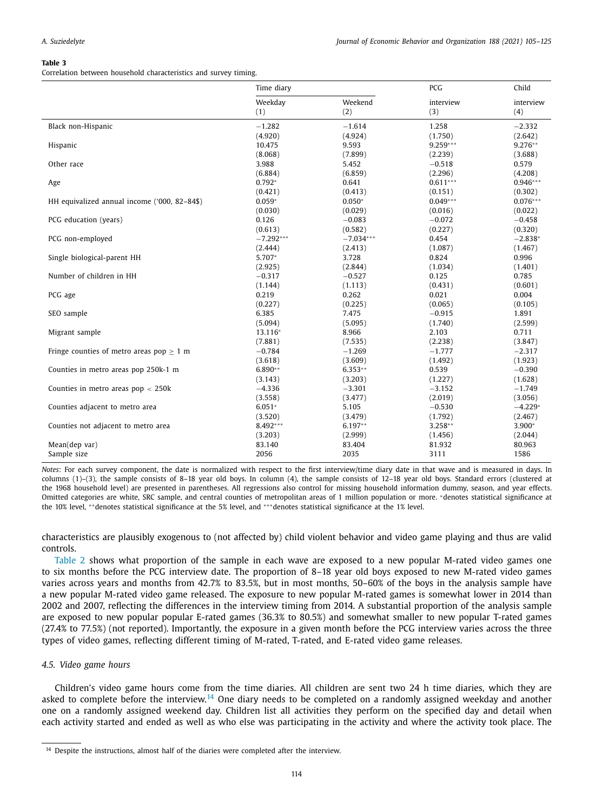Correlation between household characteristics and survey timing.

|                                               | Time diary     |                | PCG              | Child            |
|-----------------------------------------------|----------------|----------------|------------------|------------------|
|                                               | Weekday<br>(1) | Weekend<br>(2) | interview<br>(3) | interview<br>(4) |
| Black non-Hispanic                            | $-1.282$       | $-1.614$       | 1.258            | $-2.332$         |
|                                               | (4.920)        | (4.924)        | (1.750)          | (2.642)          |
| Hispanic                                      | 10.475         | 9.593          | $9.259***$       | 9.276**          |
|                                               | (8.068)        | (7.899)        | (2.239)          | (3.688)          |
| Other race                                    | 3.988          | 5.452          | $-0.518$         | 0.579            |
|                                               | (6.884)        | (6.859)        | (2.296)          | (4.208)          |
| Age                                           | $0.792*$       | 0.641          | $0.611***$       | $0.946***$       |
|                                               | (0.421)        | (0.413)        | (0.151)          | (0.302)          |
| HH equivalized annual income ('000, 82-84\$)  | $0.059*$       | $0.050*$       | $0.049***$       | $0.076***$       |
|                                               | (0.030)        | (0.029)        | (0.016)          | (0.022)          |
| PCG education (years)                         | 0.126          | $-0.083$       | $-0.072$         | $-0.458$         |
|                                               | (0.613)        | (0.582)        | (0.227)          | (0.320)          |
| PCG non-employed                              | $-7.292***$    | $-7.034***$    | 0.454            | $-2.838*$        |
|                                               | (2.444)        | (2.413)        | (1.087)          | (1.467)          |
| Single biological-parent HH                   | 5.707*         | 3.728          | 0.824            | 0.996            |
|                                               | (2.925)        | (2.844)        | (1.034)          | (1.401)          |
| Number of children in HH                      | $-0.317$       | $-0.527$       | 0.125            | 0.785            |
|                                               | (1.144)        | (1.113)        | (0.431)          | (0.601)          |
| PCG age                                       | 0.219          | 0.262          | 0.021            | 0.004            |
|                                               | (0.227)        | (0.225)        | (0.065)          | (0.105)          |
| SEO sample                                    | 6.385          | 7.475          | $-0.915$         | 1.891            |
|                                               | (5.094)        | (5.095)        | (1.740)          | (2.599)          |
| Migrant sample                                | 13.116*        | 8.966          | 2.103            | 0.711            |
|                                               | (7.881)        | (7.535)        | (2.238)          | (3.847)          |
| Fringe counties of metro areas pop $\geq 1$ m | $-0.784$       | $-1.269$       | $-1.777$         | $-2.317$         |
|                                               | (3.618)        | (3.609)        | (1.492)          | (1.923)          |
| Counties in metro areas pop 250k-1 m          | 6.890**        | $6.353**$      | 0.539            | $-0.390$         |
|                                               | (3.143)        | (3.203)        | (1.227)          | (1.628)          |
| Counties in metro areas $pop < 250k$          | $-4.336$       | $-3.301$       | $-3.152$         | $-1.749$         |
|                                               | (3.558)        | (3.477)        | (2.019)          | (3.056)          |
| Counties adjacent to metro area               | $6.051*$       | 5.105          | $-0.530$         | $-4.229*$        |
|                                               | (3.520)        | (3.479)        | (1.792)          | (2.467)          |
| Counties not adjacent to metro area           | 8.492***       | $6.197**$      | 3.258**          | 3.900*           |
|                                               | (3.203)        | (2.999)        | (1.456)          | (2.044)          |
| Mean(dep var)                                 | 83.140         | 83.404         | 81.932           | 80.963           |
| Sample size                                   | 2056           | 2035           | 3111             | 1586             |

*Notes*: For each survey component, the date is normalized with respect to the first interview/time diary date in that wave and is measured in days. In columns (1)–(3), the sample consists of 8–18 year old boys. In column (4), the sample consists of 12–18 year old boys. Standard errors (clustered at the 1968 household level) are presented in parentheses. All regressions also control for missing household information dummy, season, and year effects. Omitted categories are white, SRC sample, and central counties of metropolitan areas of 1 million population or more. <sup>∗</sup>denotes statistical significance at the 10% level, \*\*denotes statistical significance at the 5% level, and \*\*\*denotes statistical significance at the 1% level.

characteristics are plausibly exogenous to (not affected by) child violent behavior and video game playing and thus are valid controls.

Table 2 shows what proportion of the sample in each wave are exposed to a new popular M-rated video games one to six months before the PCG interview date. The proportion of 8–18 year old boys exposed to new M-rated video games varies across years and months from 42.7% to 83.5%, but in most months, 50–60% of the boys in the analysis sample have a new popular M-rated video game released. The exposure to new popular M-rated games is somewhat lower in 2014 than 2002 and 2007, reflecting the differences in the interview timing from 2014. A substantial proportion of the analysis sample are exposed to new popular popular E-rated games (36.3% to 80.5%) and somewhat smaller to new popular T-rated games (27.4% to 77.5%) (not reported). Importantly, the exposure in a given month before the PCG interview varies across the three types of video games, reflecting different timing of M-rated, T-rated, and E-rated video game releases.

#### *4.5. Video game hours*

Children's video game hours come from the time diaries. All children are sent two 24 h time diaries, which they are asked to complete before the interview.<sup>14</sup> One diary needs to be completed on a randomly assigned weekday and another one on a randomly assigned weekend day. Children list all activities they perform on the specified day and detail when each activity started and ended as well as who else was participating in the activity and where the activity took place. The

<sup>&</sup>lt;sup>14</sup> Despite the instructions, almost half of the diaries were completed after the interview.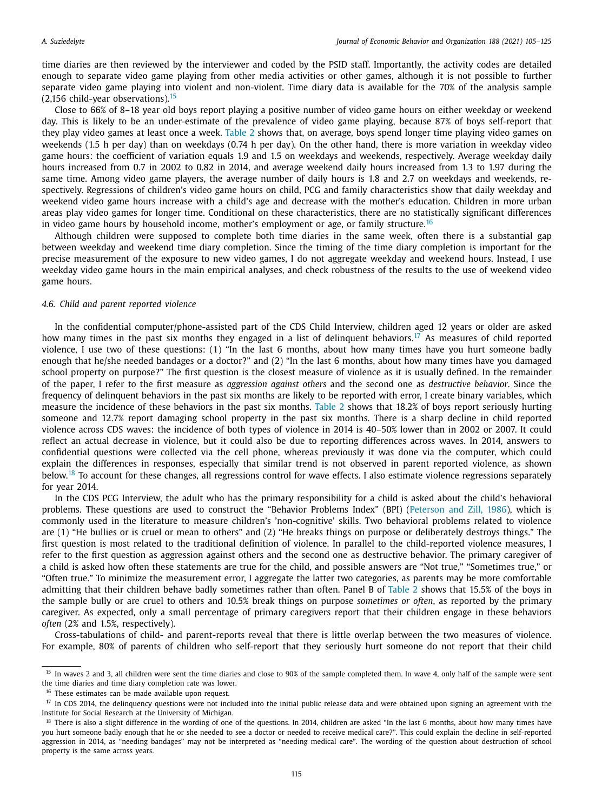time diaries are then reviewed by the interviewer and coded by the PSID staff. Importantly, the activity codes are detailed enough to separate video game playing from other media activities or other games, although it is not possible to further separate video game playing into violent and non-violent. Time diary data is available for the 70% of the analysis sample  $(2,156 \text{ child-year observations})$ .<sup>15</sup>

Close to 66% of 8–18 year old boys report playing a positive number of video game hours on either weekday or weekend day. This is likely to be an under-estimate of the prevalence of video game playing, because 87% of boys self-report that they play video games at least once a week. Table 2 shows that, on average, boys spend longer time playing video games on weekends (1.5 h per day) than on weekdays (0.74 h per day). On the other hand, there is more variation in weekday video game hours: the coefficient of variation equals 1.9 and 1.5 on weekdays and weekends, respectively. Average weekday daily hours increased from 0.7 in 2002 to 0.82 in 2014, and average weekend daily hours increased from 1.3 to 1.97 during the same time. Among video game players, the average number of daily hours is 1.8 and 2.7 on weekdays and weekends, respectively. Regressions of children's video game hours on child, PCG and family characteristics show that daily weekday and weekend video game hours increase with a child's age and decrease with the mother's education. Children in more urban areas play video games for longer time. Conditional on these characteristics, there are no statistically significant differences in video game hours by household income, mother's employment or age, or family structure.<sup>16</sup>

Although children were supposed to complete both time diaries in the same week, often there is a substantial gap between weekday and weekend time diary completion. Since the timing of the time diary completion is important for the precise measurement of the exposure to new video games, I do not aggregate weekday and weekend hours. Instead, I use weekday video game hours in the main empirical analyses, and check robustness of the results to the use of weekend video game hours.

### *4.6. Child and parent reported violence*

In the confidential computer/phone-assisted part of the CDS Child Interview, children aged 12 years or older are asked how many times in the past six months they engaged in a list of delinquent behaviors.<sup>17</sup> As measures of child reported violence, I use two of these questions: (1) "In the last 6 months, about how many times have you hurt someone badly enough that he/she needed bandages or a doctor?" and (2) "In the last 6 months, about how many times have you damaged school property on purpose?" The first question is the closest measure of violence as it is usually defined. In the remainder of the paper, I refer to the first measure as *aggression against others* and the second one as *destructive behavior*. Since the frequency of delinquent behaviors in the past six months are likely to be reported with error, I create binary variables, which measure the incidence of these behaviors in the past six months. Table 2 shows that 18.2% of boys report seriously hurting someone and 12.7% report damaging school property in the past six months. There is a sharp decline in child reported violence across CDS waves: the incidence of both types of violence in 2014 is 40–50% lower than in 2002 or 2007. It could reflect an actual decrease in violence, but it could also be due to reporting differences across waves. In 2014, answers to confidential questions were collected via the cell phone, whereas previously it was done via the computer, which could explain the differences in responses, especially that similar trend is not observed in parent reported violence, as shown below.<sup>18</sup> To account for these changes, all regressions control for wave effects. I also estimate violence regressions separately for year 2014.

In the CDS PCG Interview, the adult who has the primary responsibility for a child is asked about the child's behavioral problems. These questions are used to construct the "Behavior Problems Index" (BPI) (Peterson and Zill, 1986), which is commonly used in the literature to measure children's 'non-cognitive' skills. Two behavioral problems related to violence are (1) "He bullies or is cruel or mean to others" and (2) "He breaks things on purpose or deliberately destroys things." The first question is most related to the traditional definition of violence. In parallel to the child-reported violence measures, I refer to the first question as aggression against others and the second one as destructive behavior. The primary caregiver of a child is asked how often these statements are true for the child, and possible answers are "Not true," "Sometimes true," or "Often true." To minimize the measurement error, I aggregate the latter two categories, as parents may be more comfortable admitting that their children behave badly sometimes rather than often. Panel B of Table 2 shows that 15.5% of the boys in the sample bully or are cruel to others and 10.5% break things on purpose *sometimes or often*, as reported by the primary caregiver. As expected, only a small percentage of primary caregivers report that their children engage in these behaviors *often* (2% and 1.5%, respectively).

Cross-tabulations of child- and parent-reports reveal that there is little overlap between the two measures of violence. For example, 80% of parents of children who self-report that they seriously hurt someone do not report that their child

<sup>&</sup>lt;sup>15</sup> In waves 2 and 3, all children were sent the time diaries and close to 90% of the sample completed them. In wave 4, only half of the sample were sent the time diaries and time diary completion rate was lower.

<sup>&</sup>lt;sup>16</sup> These estimates can be made available upon request.

 $17$  In CDS 2014, the delinquency questions were not included into the initial public release data and were obtained upon signing an agreement with the Institute for Social Research at the University of Michigan.

<sup>&</sup>lt;sup>18</sup> There is also a slight difference in the wording of one of the questions. In 2014, children are asked "In the last 6 months, about how many times have you hurt someone badly enough that he or she needed to see a doctor or needed to receive medical care?". This could explain the decline in self-reported aggression in 2014, as "needing bandages" may not be interpreted as "needing medical care". The wording of the question about destruction of school property is the same across years.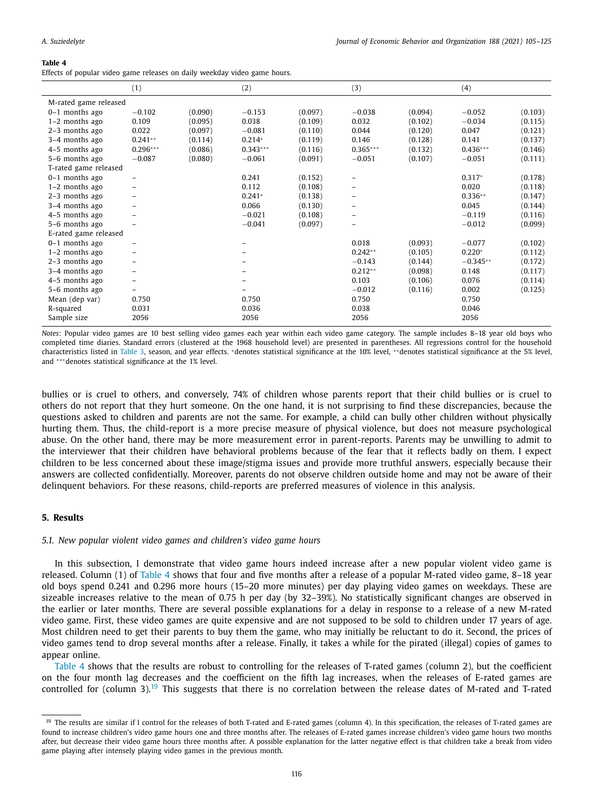Effects of popular video game releases on daily weekday video game hours.

|                       | (1)            |         | (2)        |         | (3)        |         | (4)        |         |
|-----------------------|----------------|---------|------------|---------|------------|---------|------------|---------|
| M-rated game released |                |         |            |         |            |         |            |         |
| $0-1$ months ago      | $-0.102$       | (0.090) | $-0.153$   | (0.097) | $-0.038$   | (0.094) | $-0.052$   | (0.103) |
| $1-2$ months ago      | 0.109          | (0.095) | 0.038      | (0.109) | 0.032      | (0.102) | $-0.034$   | (0.115) |
| 2-3 months ago        | 0.022          | (0.097) | $-0.081$   | (0.110) | 0.044      | (0.120) | 0.047      | (0.121) |
| 3-4 months ago        | $0.241**$      | (0.114) | $0.214*$   | (0.119) | 0.146      | (0.128) | 0.141      | (0.137) |
| 4-5 months ago        | $0.296***$     | (0.086) | $0.343***$ | (0.116) | $0.365***$ | (0.132) | $0.436***$ | (0.146) |
| 5-6 months ago        | $-0.087$       | (0.080) | $-0.061$   | (0.091) | $-0.051$   | (0.107) | $-0.051$   | (0.111) |
| T-rated game released |                |         |            |         |            |         |            |         |
| $0-1$ months ago      |                |         | 0.241      | (0.152) |            |         | $0.317*$   | (0.178) |
| $1-2$ months ago      |                |         | 0.112      | (0.108) |            |         | 0.020      | (0.118) |
| 2-3 months ago        |                |         | $0.241*$   | (0.138) |            |         | $0.336**$  | (0.147) |
| 3-4 months ago        | -              |         | 0.066      | (0.130) |            |         | 0.045      | (0.144) |
| 4-5 months ago        |                |         | $-0.021$   | (0.108) |            |         | $-0.119$   | (0.116) |
| 5-6 months ago        |                |         | $-0.041$   | (0.097) |            |         | $-0.012$   | (0.099) |
| E-rated game released |                |         |            |         |            |         |            |         |
| $0-1$ months ago      |                |         |            |         | 0.018      | (0.093) | $-0.077$   | (0.102) |
| $1-2$ months ago      |                |         |            |         | $0.242**$  | (0.105) | $0.220*$   | (0.112) |
| 2-3 months ago        | -              |         |            |         | $-0.143$   | (0.144) | $-0.345**$ | (0.172) |
| 3-4 months ago        | $\overline{a}$ |         |            |         | $0.212**$  | (0.098) | 0.148      | (0.117) |
| 4-5 months ago        |                |         |            |         | 0.103      | (0.106) | 0.076      | (0.114) |
| 5-6 months ago        |                |         |            |         | $-0.012$   | (0.116) | 0.002      | (0.125) |
| Mean (dep var)        | 0.750          |         | 0.750      |         | 0.750      |         | 0.750      |         |
| R-squared             | 0.031          |         | 0.036      |         | 0.038      |         | 0.046      |         |
| Sample size           | 2056           |         | 2056       |         | 2056       |         | 2056       |         |

*Notes*: Popular video games are 10 best selling video games each year within each video game category. The sample includes 8–18 year old boys who completed time diaries. Standard errors (clustered at the 1968 household level) are presented in parentheses. All regressions control for the household characteristics listed in Table 3, season, and year effects. <sup>∗</sup>denotes statistical significance at the 10% level, ∗ ∗denotes statistical significance at the 5% level, and ∗∗∗denotes statistical significance at the 1% level.

bullies or is cruel to others, and conversely, 74% of children whose parents report that their child bullies or is cruel to others do not report that they hurt someone. On the one hand, it is not surprising to find these discrepancies, because the questions asked to children and parents are not the same. For example, a child can bully other children without physically hurting them. Thus, the child-report is a more precise measure of physical violence, but does not measure psychological abuse. On the other hand, there may be more measurement error in parent-reports. Parents may be unwilling to admit to the interviewer that their children have behavioral problems because of the fear that it reflects badly on them. I expect children to be less concerned about these image/stigma issues and provide more truthful answers, especially because their answers are collected confidentially. Moreover, parents do not observe children outside home and may not be aware of their delinquent behaviors. For these reasons, child-reports are preferred measures of violence in this analysis.

#### **5. Results**

#### *5.1. New popular violent video games and children's video game hours*

In this subsection, I demonstrate that video game hours indeed increase after a new popular violent video game is released. Column (1) of Table 4 shows that four and five months after a release of a popular M-rated video game, 8–18 year old boys spend 0.241 and 0.296 more hours (15–20 more minutes) per day playing video games on weekdays. These are sizeable increases relative to the mean of 0.75 h per day (by 32–39%). No statistically significant changes are observed in the earlier or later months. There are several possible explanations for a delay in response to a release of a new M-rated video game. First, these video games are quite expensive and are not supposed to be sold to children under 17 years of age. Most children need to get their parents to buy them the game, who may initially be reluctant to do it. Second, the prices of video games tend to drop several months after a release. Finally, it takes a while for the pirated (illegal) copies of games to appear online.

Table 4 shows that the results are robust to controlling for the releases of T-rated games (column 2), but the coefficient on the four month lag decreases and the coefficient on the fifth lag increases, when the releases of E-rated games are controlled for (column 3).<sup>19</sup> This suggests that there is no correlation between the release dates of M-rated and T-rated

<sup>&</sup>lt;sup>19</sup> The results are similar if I control for the releases of both T-rated and E-rated games (column 4). In this specification, the releases of T-rated games are found to increase children's video game hours one and three months after. The releases of E-rated games increase children's video game hours two months after, but decrease their video game hours three months after. A possible explanation for the latter negative effect is that children take a break from video game playing after intensely playing video games in the previous month.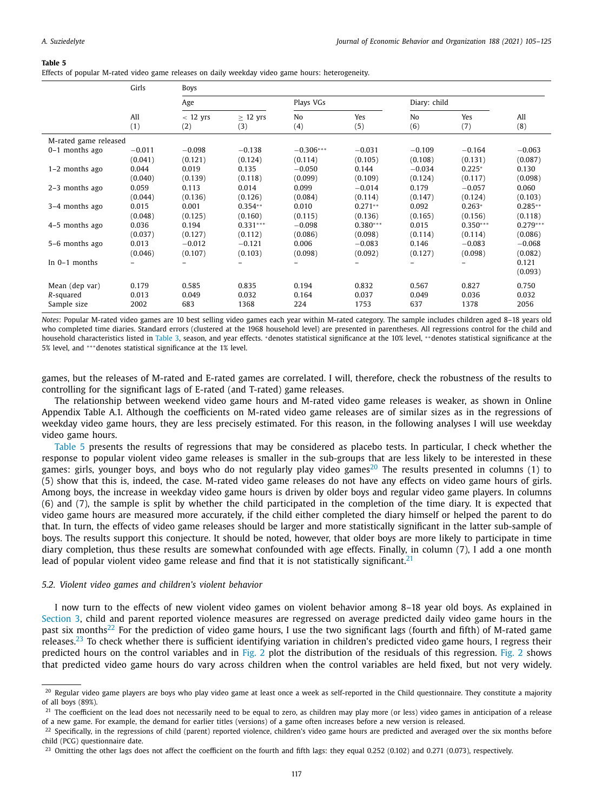Effects of popular M-rated video game releases on daily weekday video game hours: heterogeneity.

|                       | Girls    | <b>Boys</b> |               |                |            |                |            |            |
|-----------------------|----------|-------------|---------------|----------------|------------|----------------|------------|------------|
|                       |          | Age         |               | Plays VGs      |            | Diary: child   |            |            |
|                       | All      | $< 12$ yrs  | $\geq$ 12 yrs | N <sub>0</sub> | Yes        | N <sub>0</sub> | Yes        | All        |
|                       | (1)      | (2)         | (3)           | (4)            | (5)        | (6)            | (7)        | (8)        |
| M-rated game released |          |             |               |                |            |                |            |            |
| $0-1$ months ago      | $-0.011$ | $-0.098$    | $-0.138$      | $-0.306***$    | $-0.031$   | $-0.109$       | $-0.164$   | $-0.063$   |
|                       | (0.041)  | (0.121)     | (0.124)       | (0.114)        | (0.105)    | (0.108)        | (0.131)    | (0.087)    |
| $1-2$ months ago      | 0.044    | 0.019       | 0.135         | $-0.050$       | 0.144      | $-0.034$       | $0.225*$   | 0.130      |
|                       | (0.040)  | (0.139)     | (0.118)       | (0.099)        | (0.109)    | (0.124)        | (0.117)    | (0.098)    |
| $2-3$ months ago      | 0.059    | 0.113       | 0.014         | 0.099          | $-0.014$   | 0.179          | $-0.057$   | 0.060      |
|                       | (0.044)  | (0.136)     | (0.126)       | (0.084)        | (0.114)    | (0.147)        | (0.124)    | (0.103)    |
| 3-4 months ago        | 0.015    | 0.001       | $0.354**$     | 0.010          | $0.271**$  | 0.092          | $0.263*$   | $0.285**$  |
|                       | (0.048)  | (0.125)     | (0.160)       | (0.115)        | (0.136)    | (0.165)        | (0.156)    | (0.118)    |
| 4-5 months ago        | 0.036    | 0.194       | $0.331***$    | $-0.098$       | $0.380***$ | 0.015          | $0.350***$ | $0.279***$ |
|                       | (0.037)  | (0.127)     | (0.112)       | (0.086)        | (0.098)    | (0.114)        | (0.114)    | (0.086)    |
| 5-6 months ago        | 0.013    | $-0.012$    | $-0.121$      | 0.006          | $-0.083$   | 0.146          | $-0.083$   | $-0.068$   |
|                       | (0.046)  | (0.107)     | (0.103)       | (0.098)        | (0.092)    | (0.127)        | (0.098)    | (0.082)    |
| In $0-1$ months       |          |             |               |                |            |                |            | 0.121      |
|                       |          |             |               |                |            |                |            | (0.093)    |
| Mean (dep var)        | 0.179    | 0.585       | 0.835         | 0.194          | 0.832      | 0.567          | 0.827      | 0.750      |
| R-squared             | 0.013    | 0.049       | 0.032         | 0.164          | 0.037      | 0.049          | 0.036      | 0.032      |
| Sample size           | 2002     | 683         | 1368          | 224            | 1753       | 637            | 1378       | 2056       |

*Notes*: Popular M-rated video games are 10 best selling video games each year within M-rated category. The sample includes children aged 8–18 years old who completed time diaries. Standard errors (clustered at the 1968 household level) are presented in parentheses. All regressions control for the child and household characteristics listed in Table 3, season, and year effects. \*denotes statistical significance at the 10% level, \*\*denotes statistical significance at the 5% level, and ∗∗∗denotes statistical significance at the 1% level.

games, but the releases of M-rated and E-rated games are correlated. I will, therefore, check the robustness of the results to controlling for the significant lags of E-rated (and T-rated) game releases.

The relationship between weekend video game hours and M-rated video game releases is weaker, as shown in Online Appendix Table A.1. Although the coefficients on M-rated video game releases are of similar sizes as in the regressions of weekday video game hours, they are less precisely estimated. For this reason, in the following analyses I will use weekday video game hours.

Table 5 presents the results of regressions that may be considered as placebo tests. In particular, I check whether the response to popular violent video game releases is smaller in the sub-groups that are less likely to be interested in these games: girls, younger boys, and boys who do not regularly play video games<sup>20</sup> The results presented in columns (1) to (5) show that this is, indeed, the case. M-rated video game releases do not have any effects on video game hours of girls. Among boys, the increase in weekday video game hours is driven by older boys and regular video game players. In columns (6) and (7), the sample is split by whether the child participated in the completion of the time diary. It is expected that video game hours are measured more accurately, if the child either completed the diary himself or helped the parent to do that. In turn, the effects of video game releases should be larger and more statistically significant in the latter sub-sample of boys. The results support this conjecture. It should be noted, however, that older boys are more likely to participate in time diary completion, thus these results are somewhat confounded with age effects. Finally, in column (7), I add a one month lead of popular violent video game release and find that it is not statistically significant.<sup>21</sup>

#### *5.2. Violent video games and children's violent behavior*

I now turn to the effects of new violent video games on violent behavior among 8–18 year old boys. As explained in Section 3, child and parent reported violence measures are regressed on average predicted daily video game hours in the past six months<sup>22</sup> For the prediction of video game hours, I use the two significant lags (fourth and fifth) of M-rated game releases.<sup>23</sup> To check whether there is sufficient identifying variation in children's predicted video game hours, I regress their predicted hours on the control variables and in Fig. 2 plot the distribution of the residuals of this regression. Fig. 2 shows that predicted video game hours do vary across children when the control variables are held fixed, but not very widely.

 $20$  Regular video game players are boys who play video game at least once a week as self-reported in the Child questionnaire. They constitute a majority of all boys (89%).

 $21$  The coefficient on the lead does not necessarily need to be equal to zero, as children may play more (or less) video games in anticipation of a release of a new game. For example, the demand for earlier titles (versions) of a game often increases before a new version is released.

<sup>&</sup>lt;sup>22</sup> Specifically, in the regressions of child (parent) reported violence, children's video game hours are predicted and averaged over the six months before child (PCG) questionnaire date.

<sup>&</sup>lt;sup>23</sup> Omitting the other lags does not affect the coefficient on the fourth and fifth lags: they equal 0.252 (0.102) and 0.271 (0.073), respectively.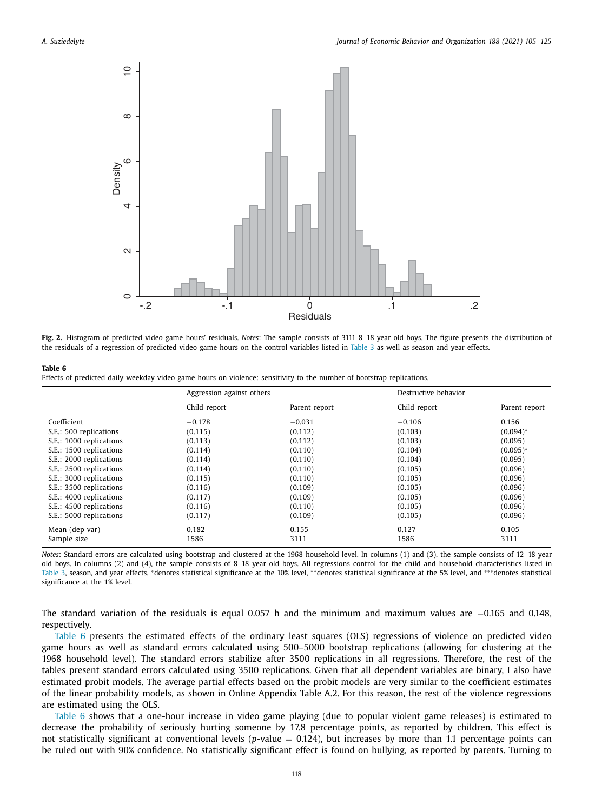

**Fig. 2.** Histogram of predicted video game hours' residuals. *Notes*: The sample consists of 3111 8–18 year old boys. The figure presents the distribution of the residuals of a regression of predicted video game hours on the control variables listed in Table 3 as well as season and year effects.

Effects of predicted daily weekday video game hours on violence: sensitivity to the number of bootstrap replications.

|                         | Aggression against others |               | Destructive behavior |               |
|-------------------------|---------------------------|---------------|----------------------|---------------|
|                         | Child-report              | Parent-report | Child-report         | Parent-report |
| Coefficient             | $-0.178$                  | $-0.031$      | $-0.106$             | 0.156         |
| S.E.: 500 replications  | (0.115)                   | (0.112)       | (0.103)              | $(0.094)^*$   |
| S.E.: 1000 replications | (0.113)                   | (0.112)       | (0.103)              | (0.095)       |
| S.E.: 1500 replications | (0.114)                   | (0.110)       | (0.104)              | $(0.095)*$    |
| S.E.: 2000 replications | (0.114)                   | (0.110)       | (0.104)              | (0.095)       |
| S.E.: 2500 replications | (0.114)                   | (0.110)       | (0.105)              | (0.096)       |
| S.E.: 3000 replications | (0.115)                   | (0.110)       | (0.105)              | (0.096)       |
| S.E.: 3500 replications | (0.116)                   | (0.109)       | (0.105)              | (0.096)       |
| S.E.: 4000 replications | (0.117)                   | (0.109)       | (0.105)              | (0.096)       |
| S.E.: 4500 replications | (0.116)                   | (0.110)       | (0.105)              | (0.096)       |
| S.E.: 5000 replications | (0.117)                   | (0.109)       | (0.105)              | (0.096)       |
| Mean (dep var)          | 0.182                     | 0.155         | 0.127                | 0.105         |
| Sample size             | 1586                      | 3111          | 1586                 | 3111          |

*Notes*: Standard errors are calculated using bootstrap and clustered at the 1968 household level. In columns (1) and (3), the sample consists of 12–18 year old boys. In columns (2) and (4), the sample consists of 8–18 year old boys. All regressions control for the child and household characteristics listed in Table 3, season, and year effects. \*denotes statistical significance at the 10% level, \*\*denotes statistical significance at the 5% level, and \*\*\*denotes statistical significance at the 1% level.

The standard variation of the residuals is equal 0.057 h and the minimum and maximum values are −0.165 and 0.148, respectively.

Table 6 presents the estimated effects of the ordinary least squares (OLS) regressions of violence on predicted video game hours as well as standard errors calculated using 500–5000 bootstrap replications (allowing for clustering at the 1968 household level). The standard errors stabilize after 3500 replications in all regressions. Therefore, the rest of the tables present standard errors calculated using 3500 replications. Given that all dependent variables are binary, I also have estimated probit models. The average partial effects based on the probit models are very similar to the coefficient estimates of the linear probability models, as shown in Online Appendix Table A.2. For this reason, the rest of the violence regressions are estimated using the OLS.

Table 6 shows that a one-hour increase in video game playing (due to popular violent game releases) is estimated to decrease the probability of seriously hurting someone by 17.8 percentage points, as reported by children. This effect is not statistically significant at conventional levels (*p*-value = 0.124), but increases by more than 1.1 percentage points can be ruled out with 90% confidence. No statistically significant effect is found on bullying, as reported by parents. Turning to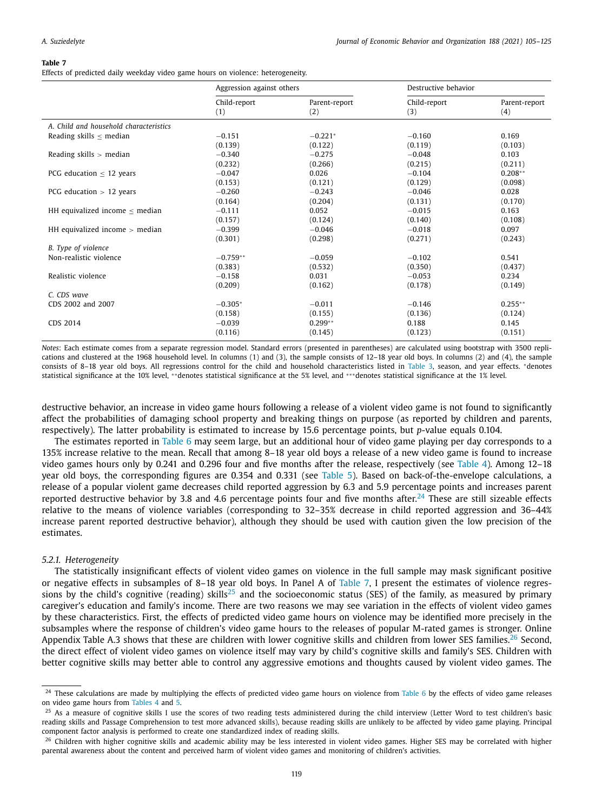Effects of predicted daily weekday video game hours on violence: heterogeneity.

|                                        | Aggression against others |                      | Destructive behavior |                      |
|----------------------------------------|---------------------------|----------------------|----------------------|----------------------|
|                                        | Child-report<br>(1)       | Parent-report<br>(2) | Child-report<br>(3)  | Parent-report<br>(4) |
| A. Child and household characteristics |                           |                      |                      |                      |
| Reading skills $\leq$ median           | $-0.151$                  | $-0.221*$            | $-0.160$             | 0.169                |
|                                        | (0.139)                   | (0.122)              | (0.119)              | (0.103)              |
| Reading skills $>$ median              | $-0.340$                  | $-0.275$             | $-0.048$             | 0.103                |
|                                        | (0.232)                   | (0.266)              | (0.215)              | (0.211)              |
| PCG education $<$ 12 years             | $-0.047$                  | 0.026                | $-0.104$             | $0.208**$            |
|                                        | (0.153)                   | (0.121)              | (0.129)              | (0.098)              |
| PCG education $> 12$ years             | $-0.260$                  | $-0.243$             | $-0.046$             | 0.028                |
|                                        | (0.164)                   | (0.204)              | (0.131)              | (0.170)              |
| HH equivalized income $\leq$ median    | $-0.111$                  | 0.052                | $-0.015$             | 0.163                |
|                                        | (0.157)                   | (0.124)              | (0.140)              | (0.108)              |
| HH equivalized income $>$ median       | $-0.399$                  | $-0.046$             | $-0.018$             | 0.097                |
|                                        | (0.301)                   | (0.298)              | (0.271)              | (0.243)              |
| B. Type of violence                    |                           |                      |                      |                      |
| Non-realistic violence                 | $-0.759**$                | $-0.059$             | $-0.102$             | 0.541                |
|                                        | (0.383)                   | (0.532)              | (0.350)              | (0.437)              |
| Realistic violence                     | $-0.158$                  | 0.031                | $-0.053$             | 0.234                |
|                                        | (0.209)                   | (0.162)              | (0.178)              | (0.149)              |
| C. CDS wave                            |                           |                      |                      |                      |
| CDS 2002 and 2007                      | $-0.305*$                 | $-0.011$             | $-0.146$             | $0.255**$            |
|                                        | (0.158)                   | (0.155)              | (0.136)              | (0.124)              |
| CDS 2014                               | $-0.039$                  | $0.299**$            | 0.188                | 0.145                |
|                                        | (0.116)                   | (0.145)              | (0.123)              | (0.151)              |

*Notes*: Each estimate comes from a separate regression model. Standard errors (presented in parentheses) are calculated using bootstrap with 3500 replications and clustered at the 1968 household level. In columns (1) and (3), the sample consists of 12–18 year old boys. In columns (2) and (4), the sample consists of 8–18 year old boys. All regressions control for the child and household characteristics listed in Table 3, season, and year effects. <sup>∗</sup>denotes statistical significance at the 10% level, \*\*denotes statistical significance at the 5% level, and \*\*\*denotes statistical significance at the 1% level.

destructive behavior, an increase in video game hours following a release of a violent video game is not found to significantly affect the probabilities of damaging school property and breaking things on purpose (as reported by children and parents, respectively). The latter probability is estimated to increase by 15.6 percentage points, but *p*-value equals 0.104.

The estimates reported in Table 6 may seem large, but an additional hour of video game playing per day corresponds to a 135% increase relative to the mean. Recall that among 8–18 year old boys a release of a new video game is found to increase video games hours only by 0.241 and 0.296 four and five months after the release, respectively (see Table 4). Among 12–18 year old boys, the corresponding figures are 0.354 and 0.331 (see Table 5). Based on back-of-the-envelope calculations, a release of a popular violent game decreases child reported aggression by 6.3 and 5.9 percentage points and increases parent reported destructive behavior by 3.8 and 4.6 percentage points four and five months after.<sup>24</sup> These are still sizeable effects relative to the means of violence variables (corresponding to 32–35% decrease in child reported aggression and 36–44% increase parent reported destructive behavior), although they should be used with caution given the low precision of the estimates.

#### *5.2.1. Heterogeneity*

The statistically insignificant effects of violent video games on violence in the full sample may mask significant positive or negative effects in subsamples of 8–18 year old boys. In Panel A of Table 7, I present the estimates of violence regressions by the child's cognitive (reading) skills<sup>25</sup> and the socioeconomic status (SES) of the family, as measured by primary caregiver's education and family's income. There are two reasons we may see variation in the effects of violent video games by these characteristics. First, the effects of predicted video game hours on violence may be identified more precisely in the subsamples where the response of children's video game hours to the releases of popular M-rated games is stronger. Online Appendix Table A.3 shows that these are children with lower cognitive skills and children from lower SES families.<sup>26</sup> Second, the direct effect of violent video games on violence itself may vary by child's cognitive skills and family's SES. Children with better cognitive skills may better able to control any aggressive emotions and thoughts caused by violent video games. The

<sup>&</sup>lt;sup>24</sup> These calculations are made by multiplying the effects of predicted video game hours on violence from Table 6 by the effects of video game releases on video game hours from Tables 4 and 5.

<sup>&</sup>lt;sup>25</sup> As a measure of cognitive skills I use the scores of two reading tests administered during the child interview (Letter Word to test children's basic reading skills and Passage Comprehension to test more advanced skills), because reading skills are unlikely to be affected by video game playing. Principal component factor analysis is performed to create one standardized index of reading skills.

 $^{26}$  Children with higher cognitive skills and academic ability may be less interested in violent video games. Higher SES may be correlated with higher parental awareness about the content and perceived harm of violent video games and monitoring of children's activities.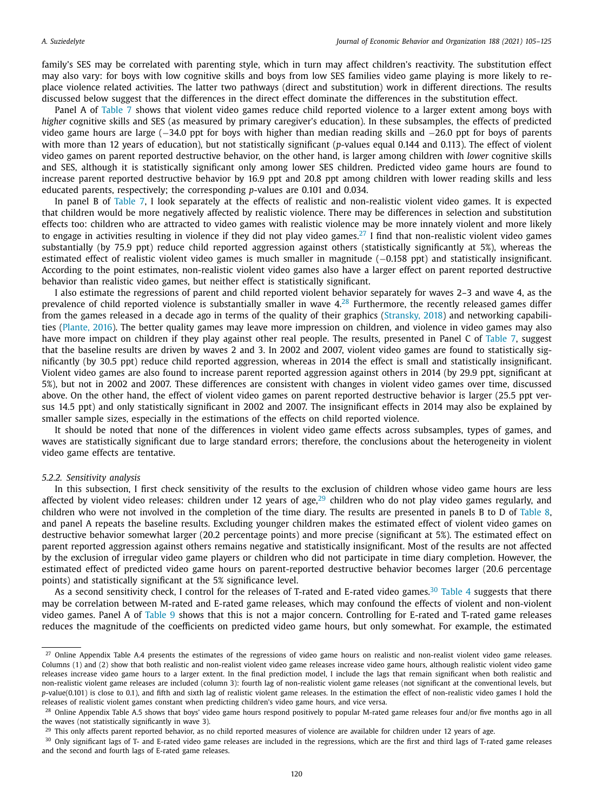family's SES may be correlated with parenting style, which in turn may affect children's reactivity. The substitution effect may also vary: for boys with low cognitive skills and boys from low SES families video game playing is more likely to replace violence related activities. The latter two pathways (direct and substitution) work in different directions. The results discussed below suggest that the differences in the direct effect dominate the differences in the substitution effect.

Panel A of Table 7 shows that violent video games reduce child reported violence to a larger extent among boys with *higher* cognitive skills and SES (as measured by primary caregiver's education). In these subsamples, the effects of predicted video game hours are large (−34.0 ppt for boys with higher than median reading skills and −26.0 ppt for boys of parents with more than 12 years of education), but not statistically significant (*p*-values equal 0.144 and 0.113). The effect of violent video games on parent reported destructive behavior, on the other hand, is larger among children with *lower* cognitive skills and SES, although it is statistically significant only among lower SES children. Predicted video game hours are found to increase parent reported destructive behavior by 16.9 ppt and 20.8 ppt among children with lower reading skills and less educated parents, respectively; the corresponding *p*-values are 0.101 and 0.034.

In panel B of Table 7, I look separately at the effects of realistic and non-realistic violent video games. It is expected that children would be more negatively affected by realistic violence. There may be differences in selection and substitution effects too: children who are attracted to video games with realistic violence may be more innately violent and more likely to engage in activities resulting in violence if they did not play video games.<sup>27</sup> I find that non-realistic violent video games substantially (by 75.9 ppt) reduce child reported aggression against others (statistically significantly at 5%), whereas the estimated effect of realistic violent video games is much smaller in magnitude (−0.158 ppt) and statistically insignificant. According to the point estimates, non-realistic violent video games also have a larger effect on parent reported destructive behavior than realistic video games, but neither effect is statistically significant.

I also estimate the regressions of parent and child reported violent behavior separately for waves 2–3 and wave 4, as the prevalence of child reported violence is substantially smaller in wave 4.<sup>28</sup> Furthermore, the recently released games differ from the games released in a decade ago in terms of the quality of their graphics (Stransky, 2018) and networking capabilities (Plante, 2016). The better quality games may leave more impression on children, and violence in video games may also have more impact on children if they play against other real people. The results, presented in Panel C of Table 7, suggest that the baseline results are driven by waves 2 and 3. In 2002 and 2007, violent video games are found to statistically significantly (by 30.5 ppt) reduce child reported aggression, whereas in 2014 the effect is small and statistically insignificant. Violent video games are also found to increase parent reported aggression against others in 2014 (by 29.9 ppt, significant at 5%), but not in 2002 and 2007. These differences are consistent with changes in violent video games over time, discussed above. On the other hand, the effect of violent video games on parent reported destructive behavior is larger (25.5 ppt versus 14.5 ppt) and only statistically significant in 2002 and 2007. The insignificant effects in 2014 may also be explained by smaller sample sizes, especially in the estimations of the effects on child reported violence.

It should be noted that none of the differences in violent video game effects across subsamples, types of games, and waves are statistically significant due to large standard errors; therefore, the conclusions about the heterogeneity in violent video game effects are tentative.

#### *5.2.2. Sensitivity analysis*

In this subsection, I first check sensitivity of the results to the exclusion of children whose video game hours are less affected by violent video releases: children under 12 years of age, $^{29}$  children who do not play video games regularly, and children who were not involved in the completion of the time diary. The results are presented in panels B to D of Table 8, and panel A repeats the baseline results. Excluding younger children makes the estimated effect of violent video games on destructive behavior somewhat larger (20.2 percentage points) and more precise (significant at 5%). The estimated effect on parent reported aggression against others remains negative and statistically insignificant. Most of the results are not affected by the exclusion of irregular video game players or children who did not participate in time diary completion. However, the estimated effect of predicted video game hours on parent-reported destructive behavior becomes larger (20.6 percentage points) and statistically significant at the 5% significance level.

As a second sensitivity check, I control for the releases of T-rated and E-rated video games.<sup>30</sup> Table 4 suggests that there may be correlation between M-rated and E-rated game releases, which may confound the effects of violent and non-violent video games. Panel A of Table 9 shows that this is not a major concern. Controlling for E-rated and T-rated game releases reduces the magnitude of the coefficients on predicted video game hours, but only somewhat. For example, the estimated

<sup>&</sup>lt;sup>27</sup> Online Appendix Table A.4 presents the estimates of the regressions of video game hours on realistic and non-realist violent video game releases. Columns (1) and (2) show that both realistic and non-realist violent video game releases increase video game hours, although realistic violent video game releases increase video game hours to a larger extent. In the final prediction model, I include the lags that remain significant when both realistic and non-realistic violent game releases are included (column 3): fourth lag of non-realistic violent game releases (not significant at the conventional levels, but p-value(0.101) is close to 0.1), and fifth and sixth lag of realistic violent game releases. In the estimation the effect of non-realistic video games I hold the releases of realistic violent games constant when predicting children's video game hours, and vice versa.

<sup>&</sup>lt;sup>28</sup> Online Appendix Table A.5 shows that boys' video game hours respond positively to popular M-rated game releases four and/or five months ago in all the waves (not statistically significantly in wave 3).

<sup>&</sup>lt;sup>29</sup> This only affects parent reported behavior, as no child reported measures of violence are available for children under 12 years of age.

<sup>&</sup>lt;sup>30</sup> Only significant lags of T- and E-rated video game releases are included in the regressions, which are the first and third lags of T-rated game releases and the second and fourth lags of E-rated game releases.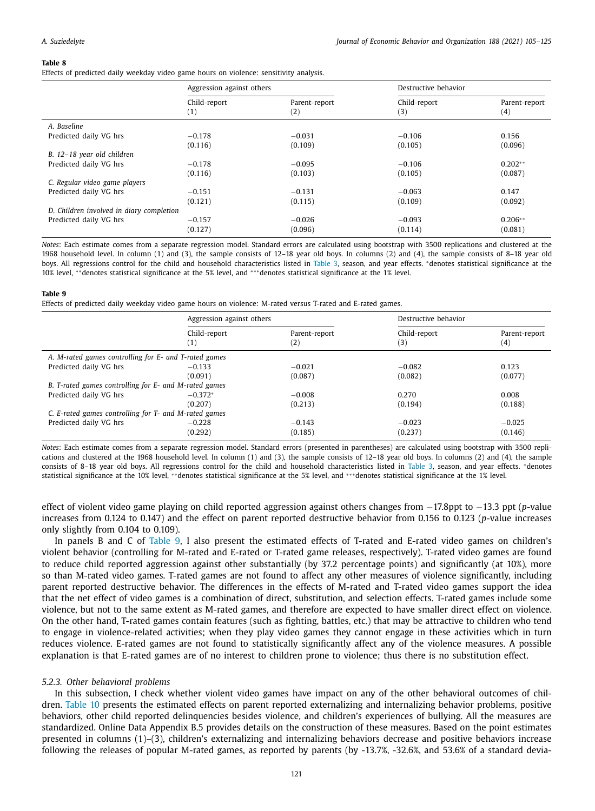Effects of predicted daily weekday video game hours on violence: sensitivity analysis.

|                                          | Aggression against others |                      | Destructive behavior |                      |
|------------------------------------------|---------------------------|----------------------|----------------------|----------------------|
|                                          | Child-report<br>(1)       | Parent-report<br>(2) | Child-report<br>(3)  | Parent-report<br>(4) |
| A. Baseline                              |                           |                      |                      |                      |
| Predicted daily VG hrs                   | $-0.178$                  | $-0.031$             | $-0.106$             | 0.156                |
|                                          | (0.116)                   | (0.109)              | (0.105)              | (0.096)              |
| B. 12-18 year old children               |                           |                      |                      |                      |
| Predicted daily VG hrs                   | $-0.178$                  | $-0.095$             | $-0.106$             | $0.202**$            |
|                                          | (0.116)                   | (0.103)              | (0.105)              | (0.087)              |
| C. Regular video game players            |                           |                      |                      |                      |
| Predicted daily VG hrs                   | $-0.151$                  | $-0.131$             | $-0.063$             | 0.147                |
|                                          | (0.121)                   | (0.115)              | (0.109)              | (0.092)              |
| D. Children involved in diary completion |                           |                      |                      |                      |
| Predicted daily VG hrs                   | $-0.157$                  | $-0.026$             | $-0.093$             | $0.206**$            |
|                                          | (0.127)                   | (0.096)              | (0.114)              | (0.081)              |

*Notes*: Each estimate comes from a separate regression model. Standard errors are calculated using bootstrap with 3500 replications and clustered at the 1968 household level. In column (1) and (3), the sample consists of 12–18 year old boys. In columns (2) and (4), the sample consists of 8–18 year old boys. All regressions control for the child and household characteristics listed in Table 3, season, and year effects. <sup>∗</sup>denotes statistical significance at the 10% level, ∗ ∗denotes statistical significance at the 5% level, and ∗∗∗denotes statistical significance at the 1% level.

#### **Table 9**

Effects of predicted daily weekday video game hours on violence: M-rated versus T-rated and E-rated games.

|                                                       | Aggression against others |                      | Destructive behavior |                      |  |  |  |
|-------------------------------------------------------|---------------------------|----------------------|----------------------|----------------------|--|--|--|
|                                                       | Child-report<br>(1)       | Parent-report<br>(2) | Child-report<br>(3)  | Parent-report<br>(4) |  |  |  |
| A. M-rated games controlling for E- and T-rated games |                           |                      |                      |                      |  |  |  |
| Predicted daily VG hrs                                | $-0.133$                  | $-0.021$             | $-0.082$             | 0.123                |  |  |  |
|                                                       | (0.091)                   | (0.087)              | (0.082)              | (0.077)              |  |  |  |
| B. T-rated games controlling for E- and M-rated games |                           |                      |                      |                      |  |  |  |
| Predicted daily VG hrs                                | $-0.372*$                 | $-0.008$             | 0.270                | 0.008                |  |  |  |
|                                                       | (0.207)                   | (0.213)              | (0.194)              | (0.188)              |  |  |  |
| C. E-rated games controlling for T- and M-rated games |                           |                      |                      |                      |  |  |  |
| Predicted daily VG hrs                                | $-0.228$                  | $-0.143$             | $-0.023$             | $-0.025$             |  |  |  |
|                                                       | (0.292)                   | (0.185)              | (0.237)              | (0.146)              |  |  |  |

*Notes*: Each estimate comes from a separate regression model. Standard errors (presented in parentheses) are calculated using bootstrap with 3500 replications and clustered at the 1968 household level. In column (1) and (3), the sample consists of 12–18 year old boys. In columns (2) and (4), the sample consists of 8–18 year old boys. All regressions control for the child and household characteristics listed in Table 3, season, and year effects. <sup>∗</sup>denotes statistical significance at the 10% level, \*\*denotes statistical significance at the 5% level, and \*\*\*denotes statistical significance at the 1% level.

effect of violent video game playing on child reported aggression against others changes from −17.8ppt to −13.3 ppt (*p*-value increases from 0.124 to 0.147) and the effect on parent reported destructive behavior from 0.156 to 0.123 (*p*-value increases only slightly from 0.104 to 0.109).

In panels B and C of Table 9, I also present the estimated effects of T-rated and E-rated video games on children's violent behavior (controlling for M-rated and E-rated or T-rated game releases, respectively). T-rated video games are found to reduce child reported aggression against other substantially (by 37.2 percentage points) and significantly (at 10%), more so than M-rated video games. T-rated games are not found to affect any other measures of violence significantly, including parent reported destructive behavior. The differences in the effects of M-rated and T-rated video games support the idea that the net effect of video games is a combination of direct, substitution, and selection effects. T-rated games include some violence, but not to the same extent as M-rated games, and therefore are expected to have smaller direct effect on violence. On the other hand, T-rated games contain features (such as fighting, battles, etc.) that may be attractive to children who tend to engage in violence-related activities; when they play video games they cannot engage in these activities which in turn reduces violence. E-rated games are not found to statistically significantly affect any of the violence measures. A possible explanation is that E-rated games are of no interest to children prone to violence; thus there is no substitution effect.

#### *5.2.3. Other behavioral problems*

In this subsection, I check whether violent video games have impact on any of the other behavioral outcomes of children. Table 10 presents the estimated effects on parent reported externalizing and internalizing behavior problems, positive behaviors, other child reported delinquencies besides violence, and children's experiences of bullying. All the measures are standardized. Online Data Appendix B.5 provides details on the construction of these measures. Based on the point estimates presented in columns (1)–(3), children's externalizing and internalizing behaviors decrease and positive behaviors increase following the releases of popular M-rated games, as reported by parents (by -13.7%, -32.6%, and 53.6% of a standard devia-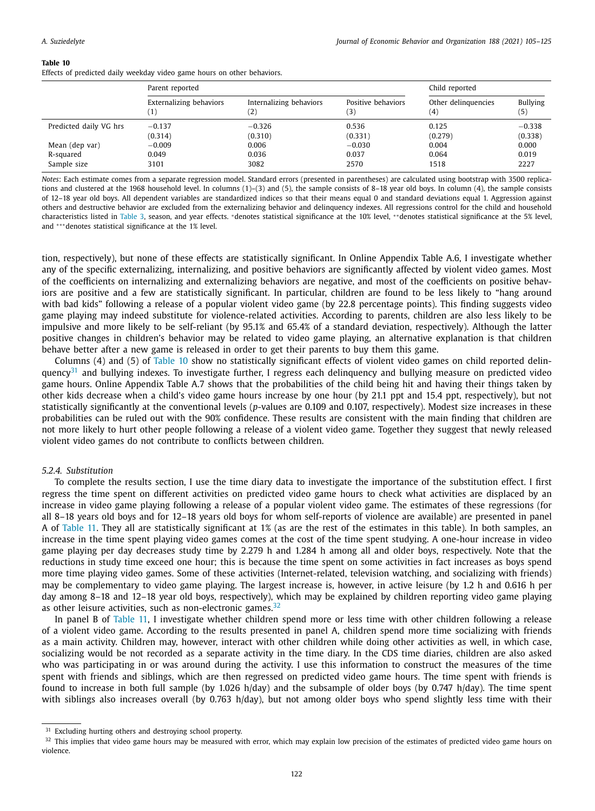Effects of predicted daily weekday video game hours on other behaviors.

|                        | Parent reported                | Child reported          |                    |                     |                 |
|------------------------|--------------------------------|-------------------------|--------------------|---------------------|-----------------|
|                        | <b>Externalizing behaviors</b> | Internalizing behaviors | Positive behaviors | Other delinquencies | <b>Bullying</b> |
|                        | 1)                             | $\left( 2\right)$       | (3)                | (4)                 | (5)             |
| Predicted daily VG hrs | $-0.137$                       | $-0.326$                | 0.536              | 0.125               | $-0.338$        |
|                        | (0.314)                        | (0.310)                 | (0.331)            | (0.279)             | (0.338)         |
| Mean (dep var)         | $-0.009$                       | 0.006                   | $-0.030$           | 0.004               | 0.000           |
| R-squared              | 0.049                          | 0.036                   | 0.037              | 0.064               | 0.019           |
| Sample size            | 3101                           | 3082                    | 2570               | 1518                | 2227            |

*Notes*: Each estimate comes from a separate regression model. Standard errors (presented in parentheses) are calculated using bootstrap with 3500 replications and clustered at the 1968 household level. In columns (1)-(3) and (5), the sample consists of 8-18 year old boys. In column (4), the sample consists of 12–18 year old boys. All dependent variables are standardized indices so that their means equal 0 and standard deviations equal 1. Aggression against others and destructive behavior are excluded from the externalizing behavior and delinquency indexes. All regressions control for the child and household characteristics listed in Table 3, season, and year effects. <sup>∗</sup>denotes statistical significance at the 10% level, ∗ ∗denotes statistical significance at the 5% level, and ∗∗∗denotes statistical significance at the 1% level.

tion, respectively), but none of these effects are statistically significant. In Online Appendix Table A.6, I investigate whether any of the specific externalizing, internalizing, and positive behaviors are significantly affected by violent video games. Most of the coefficients on internalizing and externalizing behaviors are negative, and most of the coefficients on positive behaviors are positive and a few are statistically significant. In particular, children are found to be less likely to "hang around with bad kids" following a release of a popular violent video game (by 22.8 percentage points). This finding suggests video game playing may indeed substitute for violence-related activities. According to parents, children are also less likely to be impulsive and more likely to be self-reliant (by 95.1% and 65.4% of a standard deviation, respectively). Although the latter positive changes in children's behavior may be related to video game playing, an alternative explanation is that children behave better after a new game is released in order to get their parents to buy them this game.

Columns (4) and (5) of Table 10 show no statistically significant effects of violent video games on child reported delinquency<sup>31</sup> and bullying indexes. To investigate further, I regress each delinquency and bullying measure on predicted video game hours. Online Appendix Table A.7 shows that the probabilities of the child being hit and having their things taken by other kids decrease when a child's video game hours increase by one hour (by 21.1 ppt and 15.4 ppt, respectively), but not statistically significantly at the conventional levels (*p*-values are 0.109 and 0.107, respectively). Modest size increases in these probabilities can be ruled out with the 90% confidence. These results are consistent with the main finding that children are not more likely to hurt other people following a release of a violent video game. Together they suggest that newly released violent video games do not contribute to conflicts between children.

#### *5.2.4. Substitution*

To complete the results section, I use the time diary data to investigate the importance of the substitution effect. I first regress the time spent on different activities on predicted video game hours to check what activities are displaced by an increase in video game playing following a release of a popular violent video game. The estimates of these regressions (for all 8–18 years old boys and for 12–18 years old boys for whom self-reports of violence are available) are presented in panel A of Table 11. They all are statistically significant at 1% (as are the rest of the estimates in this table). In both samples, an increase in the time spent playing video games comes at the cost of the time spent studying. A one-hour increase in video game playing per day decreases study time by 2.279 h and 1.284 h among all and older boys, respectively. Note that the reductions in study time exceed one hour; this is because the time spent on some activities in fact increases as boys spend more time playing video games. Some of these activities (Internet-related, television watching, and socializing with friends) may be complementary to video game playing. The largest increase is, however, in active leisure (by 1.2 h and 0.616 h per day among 8–18 and 12–18 year old boys, respectively), which may be explained by children reporting video game playing as other leisure activities, such as non-electronic games. $32$ 

In panel B of Table 11, I investigate whether children spend more or less time with other children following a release of a violent video game. According to the results presented in panel A, children spend more time socializing with friends as a main activity. Children may, however, interact with other children while doing other activities as well, in which case, socializing would be not recorded as a separate activity in the time diary. In the CDS time diaries, children are also asked who was participating in or was around during the activity. I use this information to construct the measures of the time spent with friends and siblings, which are then regressed on predicted video game hours. The time spent with friends is found to increase in both full sample (by 1.026 h/day) and the subsample of older boys (by 0.747 h/day). The time spent with siblings also increases overall (by 0.763 h/day), but not among older boys who spend slightly less time with their

<sup>&</sup>lt;sup>31</sup> Excluding hurting others and destroying school property.

 $32$  This implies that video game hours may be measured with error, which may explain low precision of the estimates of predicted video game hours on violence.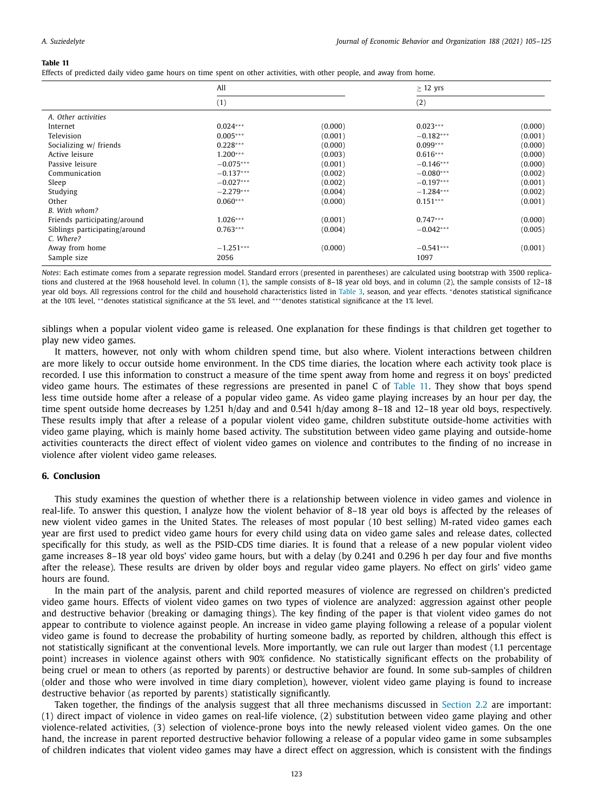Effects of predicted daily video game hours on time spent on other activities, with other people, and away from home.

|                               | All         |         | $\geq$ 12 yrs |         |
|-------------------------------|-------------|---------|---------------|---------|
|                               | (1)         |         | (2)           |         |
| A. Other activities           |             |         |               |         |
| Internet                      | $0.024***$  | (0.000) | $0.023***$    | (0.000) |
| Television                    | $0.005***$  | (0.001) | $-0.182***$   | (0.001) |
| Socializing w/ friends        | $0.228***$  | (0.000) | $0.099***$    | (0.000) |
| Active leisure                | $1.200***$  | (0.003) | $0.616***$    | (0.000) |
| Passive leisure               | $-0.075***$ | (0.001) | $-0.146***$   | (0.000) |
| Communication                 | $-0.137***$ | (0.002) | $-0.080***$   | (0.002) |
| Sleep                         | $-0.027***$ | (0.002) | $-0.197***$   | (0.001) |
| Studying                      | $-2.279***$ | (0.004) | $-1.284***$   | (0.002) |
| Other                         | $0.060***$  | (0.000) | $0.151***$    | (0.001) |
| B. With whom?                 |             |         |               |         |
| Friends participating/around  | $1.026***$  | (0.001) | $0.747***$    | (0.000) |
| Siblings participating/around | $0.763***$  | (0.004) | $-0.042***$   | (0.005) |
| C. Where?                     |             |         |               |         |
| Away from home                | $-1.251***$ | (0.000) | $-0.541***$   | (0.001) |
| Sample size                   | 2056        |         | 1097          |         |

*Notes*: Each estimate comes from a separate regression model. Standard errors (presented in parentheses) are calculated using bootstrap with 3500 replications and clustered at the 1968 household level. In column (1), the sample consists of 8–18 year old boys, and in column (2), the sample consists of 12–18 year old boys. All regressions control for the child and household characteristics listed in Table 3, season, and year effects. \*denotes statistical significance at the 10% level, ∗ ∗denotes statistical significance at the 5% level, and ∗∗∗denotes statistical significance at the 1% level.

siblings when a popular violent video game is released. One explanation for these findings is that children get together to play new video games.

It matters, however, not only with whom children spend time, but also where. Violent interactions between children are more likely to occur outside home environment. In the CDS time diaries, the location where each activity took place is recorded. I use this information to construct a measure of the time spent away from home and regress it on boys' predicted video game hours. The estimates of these regressions are presented in panel C of Table 11. They show that boys spend less time outside home after a release of a popular video game. As video game playing increases by an hour per day, the time spent outside home decreases by 1.251 h/day and and 0.541 h/day among 8–18 and 12–18 year old boys, respectively. These results imply that after a release of a popular violent video game, children substitute outside-home activities with video game playing, which is mainly home based activity. The substitution between video game playing and outside-home activities counteracts the direct effect of violent video games on violence and contributes to the finding of no increase in violence after violent video game releases.

#### **6. Conclusion**

This study examines the question of whether there is a relationship between violence in video games and violence in real-life. To answer this question, I analyze how the violent behavior of 8–18 year old boys is affected by the releases of new violent video games in the United States. The releases of most popular (10 best selling) M-rated video games each year are first used to predict video game hours for every child using data on video game sales and release dates, collected specifically for this study, as well as the PSID-CDS time diaries. It is found that a release of a new popular violent video game increases 8–18 year old boys' video game hours, but with a delay (by 0.241 and 0.296 h per day four and five months after the release). These results are driven by older boys and regular video game players. No effect on girls' video game hours are found.

In the main part of the analysis, parent and child reported measures of violence are regressed on children's predicted video game hours. Effects of violent video games on two types of violence are analyzed: aggression against other people and destructive behavior (breaking or damaging things). The key finding of the paper is that violent video games do not appear to contribute to violence against people. An increase in video game playing following a release of a popular violent video game is found to decrease the probability of hurting someone badly, as reported by children, although this effect is not statistically significant at the conventional levels. More importantly, we can rule out larger than modest (1.1 percentage point) increases in violence against others with 90% confidence. No statistically significant effects on the probability of being cruel or mean to others (as reported by parents) or destructive behavior are found. In some sub-samples of children (older and those who were involved in time diary completion), however, violent video game playing is found to increase destructive behavior (as reported by parents) statistically significantly.

Taken together, the findings of the analysis suggest that all three mechanisms discussed in Section 2.2 are important: (1) direct impact of violence in video games on real-life violence, (2) substitution between video game playing and other violence-related activities, (3) selection of violence-prone boys into the newly released violent video games. On the one hand, the increase in parent reported destructive behavior following a release of a popular video game in some subsamples of children indicates that violent video games may have a direct effect on aggression, which is consistent with the findings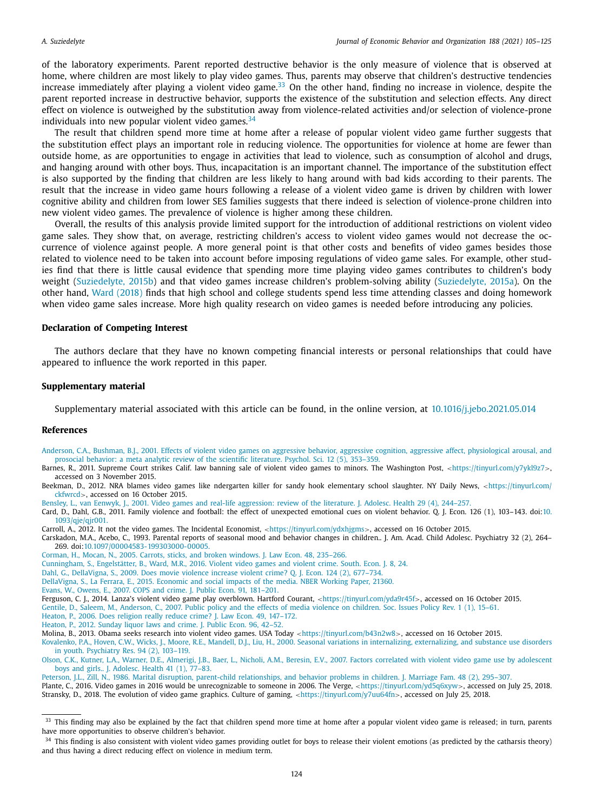of the laboratory experiments. Parent reported destructive behavior is the only measure of violence that is observed at home, where children are most likely to play video games. Thus, parents may observe that children's destructive tendencies increase immediately after playing a violent video game.<sup>33</sup> On the other hand, finding no increase in violence, despite the parent reported increase in destructive behavior, supports the existence of the substitution and selection effects. Any direct effect on violence is outweighed by the substitution away from violence-related activities and/or selection of violence-prone individuals into new popular violent video games.  $34$ 

The result that children spend more time at home after a release of popular violent video game further suggests that the substitution effect plays an important role in reducing violence. The opportunities for violence at home are fewer than outside home, as are opportunities to engage in activities that lead to violence, such as consumption of alcohol and drugs, and hanging around with other boys. Thus, incapacitation is an important channel. The importance of the substitution effect is also supported by the finding that children are less likely to hang around with bad kids according to their parents. The result that the increase in video game hours following a release of a violent video game is driven by children with lower cognitive ability and children from lower SES families suggests that there indeed is selection of violence-prone children into new violent video games. The prevalence of violence is higher among these children.

Overall, the results of this analysis provide limited support for the introduction of additional restrictions on violent video game sales. They show that, on average, restricting children's access to violent video games would not decrease the occurrence of violence against people. A more general point is that other costs and benefits of video games besides those related to violence need to be taken into account before imposing regulations of video game sales. For example, other studies find that there is little causal evidence that spending more time playing video games contributes to children's body weight (Suziedelyte, 2015b) and that video games increase children's problem-solving ability (Suziedelyte, 2015a). On the other hand, Ward (2018) finds that high school and college students spend less time attending classes and doing homework when video game sales increase. More high quality research on video games is needed before introducing any policies.

#### **Declaration of Competing Interest**

The authors declare that they have no known competing financial interests or personal relationships that could have appeared to influence the work reported in this paper.

#### **Supplementary material**

Supplementary material associated with this article can be found, in the online version, at 10.1016/j.jebo.2021.05.014

#### **References**

- Anderson, C.A., Bushman, B.J., 2001. Effects of violent video games on aggressive behavior, aggressive cognition, aggressive affect, physiological arousal, and prosocial behavior: a meta analytic review of the scientific literature. Psychol. Sci. 12 (5), 353–359.
- Barnes, R., 2011. Supreme Court strikes Calif. law banning sale of violent video games to minors. The Washington Post, <https://tinyurl.com/y7ykl9z7>, accessed on 3 November 2015.

Beekman, D., 2012. NRA blames video games like ndergarten killer for sandy hook elementary school slaughter. NY Daily News, <https://tinyurl.com/ ckfwrcd>, accessed on 16 October 2015.

Bensley, L., van Eenwyk, J., 2001. Video games and real-life aggression: review of the literature. J. Adolesc. Health 29 (4), 244–257.

Card, D., Dahl, G.B., 2011. Family violence and football: the effect of unexpected emotional cues on violent behavior. Q. J. Econ. 126 (1), 103-143. doi:10. 1093/qje/qjr001.

Carroll, A., 2012. It not the video games. The Incidental Economist, <https://tinyurl.com/ydxhjgms>, accessed on 16 October 2015.

Carskadon, M.A., Acebo, C., 1993. Parental reports of seasonal mood and behavior changes in children.. J. Am. Acad. Child Adolesc. Psychiatry 32 (2), 264– 269. doi:10.1097/00004583-199303000-00005.

Corman, H., Mocan, N., 2005. Carrots, sticks, and broken windows. J. Law Econ. 48, 235–266.

Cunningham, S., Engelstätter, B., Ward, M.R., 2016. Violent video games and violent crime. South. Econ. J. 8, 24.

Dahl, G., DellaVigna, S., 2009. Does movie violence increase violent crime? Q. J. Econ. 124 (2), 677–734.

DellaVigna, S., La Ferrara, E., 2015. Economic and social impacts of the media. NBER Working Paper, 21360.

Evans, W., Owens, E., 2007. COPS and crime. J. Public Econ. 91, 181–201.

Ferguson, C. J., 2014. Lanza's violent video game play overblown. Hartford Courant, <https://tinyurl.com/yda9r45f>, accessed on 16 October 2015.

Gentile, D., Saleem, M., Anderson, C., 2007. Public policy and the effects of media violence on children. Soc. Issues Policy Rev. 1 (1), 15–61.

Heaton, P., 2006. Does religion really reduce crime? J. Law Econ. 49, 147–172.

Heaton, P., 2012. Sunday liquor laws and crime. J. Public Econ. 96, 42–52.

Molina, B., 2013. Obama seeks research into violent video games. USA Today <https://tinyurl.com/b43n2w8>, accessed on 16 October 2015.

Kovalenko, P.A., Hoven, C.W., Wicks, J., Moore, R.E., Mandell, D.J., Liu, H., 2000. Seasonal variations in internalizing, externalizing, and substance use disorders in youth. Psychiatry Res. 94 (2), 103–119.

Olson, C.K., Kutner, L.A., Warner, D.E., Almerigi, J.B., Baer, L., Nicholi, A.M., Beresin, E.V., 2007. Factors correlated with violent video game use by adolescent boys and girls.. J. Adolesc. Health 41 (1), 77–83.

Peterson, J.L., Zill, N., 1986. Marital disruption, parent-child relationships, and behavior problems in children. J. Marriage Fam. 48 (2), 295–307. Plante, C., 2016. Video games in 2016 would be unrecognizable to someone in 2006. The Verge, <https://tinyurl.com/yd5q6xyw>, accessed on July 25, 2018. Stransky, D., 2018. The evolution of video game graphics. Culture of gaming, <https://tinyurl.com/y7uu64fn>, accessed on July 25, 2018.

<sup>&</sup>lt;sup>33</sup> This finding may also be explained by the fact that children spend more time at home after a popular violent video game is released; in turn, parents have more opportunities to observe children's behavior.

 $34$  This finding is also consistent with violent video games providing outlet for boys to release their violent emotions (as predicted by the catharsis theory) and thus having a direct reducing effect on violence in medium term.